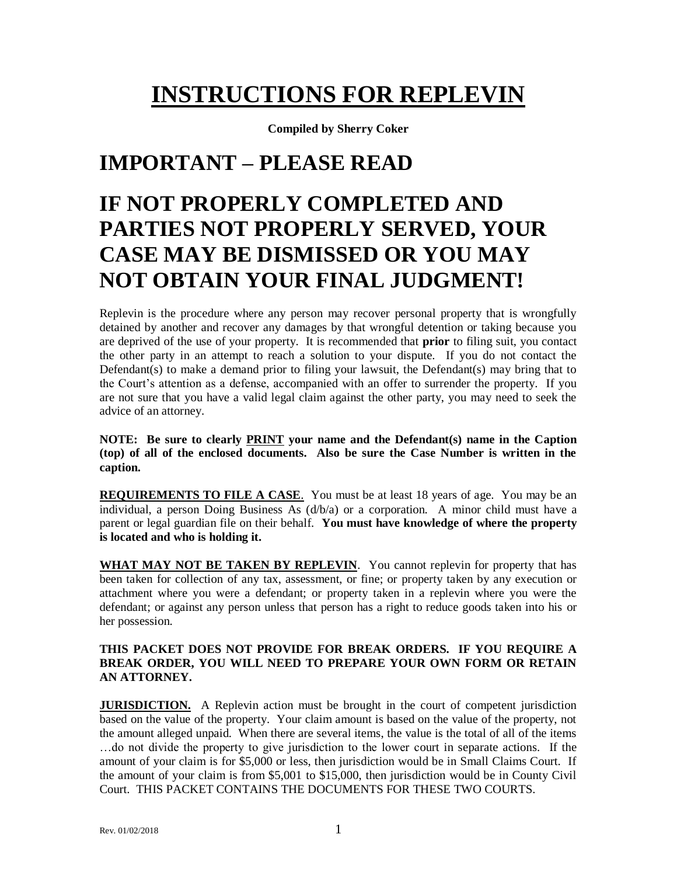# **INSTRUCTIONS FOR REPLEVIN**

**Compiled by Sherry Coker**

## **IMPORTANT – PLEASE READ**

# **IF NOT PROPERLY COMPLETED AND PARTIES NOT PROPERLY SERVED, YOUR CASE MAY BE DISMISSED OR YOU MAY NOT OBTAIN YOUR FINAL JUDGMENT!**

Replevin is the procedure where any person may recover personal property that is wrongfully detained by another and recover any damages by that wrongful detention or taking because you are deprived of the use of your property. It is recommended that **prior** to filing suit, you contact the other party in an attempt to reach a solution to your dispute. If you do not contact the Defendant(s) to make a demand prior to filing your lawsuit, the Defendant(s) may bring that to the Court's attention as a defense, accompanied with an offer to surrender the property. If you are not sure that you have a valid legal claim against the other party, you may need to seek the advice of an attorney.

**NOTE: Be sure to clearly PRINT your name and the Defendant(s) name in the Caption (top) of all of the enclosed documents. Also be sure the Case Number is written in the caption.**

**REQUIREMENTS TO FILE A CASE**. You must be at least 18 years of age. You may be an individual, a person Doing Business As (d/b/a) or a corporation. A minor child must have a parent or legal guardian file on their behalf. **You must have knowledge of where the property is located and who is holding it.**

**WHAT MAY NOT BE TAKEN BY REPLEVIN**. You cannot replevin for property that has been taken for collection of any tax, assessment, or fine; or property taken by any execution or attachment where you were a defendant; or property taken in a replevin where you were the defendant; or against any person unless that person has a right to reduce goods taken into his or her possession.

#### **THIS PACKET DOES NOT PROVIDE FOR BREAK ORDERS. IF YOU REQUIRE A BREAK ORDER, YOU WILL NEED TO PREPARE YOUR OWN FORM OR RETAIN AN ATTORNEY.**

**JURISDICTION.** A Replevin action must be brought in the court of competent jurisdiction based on the value of the property. Your claim amount is based on the value of the property, not the amount alleged unpaid. When there are several items, the value is the total of all of the items …do not divide the property to give jurisdiction to the lower court in separate actions. If the amount of your claim is for \$5,000 or less, then jurisdiction would be in Small Claims Court. If the amount of your claim is from \$5,001 to \$15,000, then jurisdiction would be in County Civil Court. THIS PACKET CONTAINS THE DOCUMENTS FOR THESE TWO COURTS.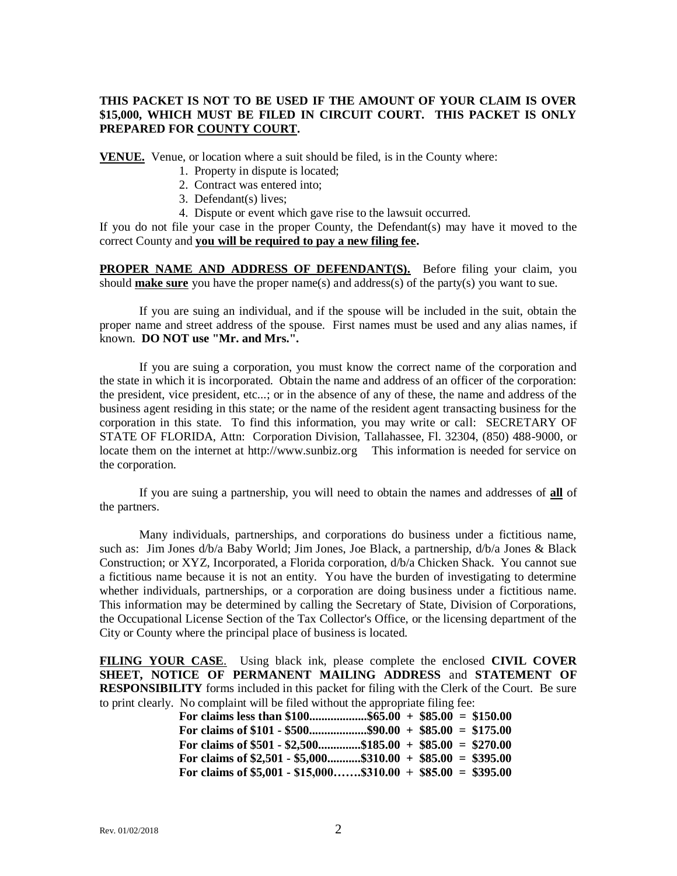#### **THIS PACKET IS NOT TO BE USED IF THE AMOUNT OF YOUR CLAIM IS OVER \$15,000, WHICH MUST BE FILED IN CIRCUIT COURT. THIS PACKET IS ONLY PREPARED FOR COUNTY COURT.**

**VENUE.** Venue, or location where a suit should be filed, is in the County where:

- 1. Property in dispute is located;
- 2. Contract was entered into;
- 3. Defendant(s) lives;
- 4. Dispute or event which gave rise to the lawsuit occurred.

If you do not file your case in the proper County, the Defendant(s) may have it moved to the correct County and **you will be required to pay a new filing fee.**

**PROPER NAME AND ADDRESS OF DEFENDANT(S).** Before filing your claim, you should **make sure** you have the proper name(s) and address(s) of the party(s) you want to sue.

If you are suing an individual, and if the spouse will be included in the suit, obtain the proper name and street address of the spouse. First names must be used and any alias names, if known. **DO NOT use "Mr. and Mrs.".**

If you are suing a corporation, you must know the correct name of the corporation and the state in which it is incorporated. Obtain the name and address of an officer of the corporation: the president, vice president, etc...; or in the absence of any of these, the name and address of the business agent residing in this state; or the name of the resident agent transacting business for the corporation in this state. To find this information, you may write or call: SECRETARY OF STATE OF FLORIDA, Attn: Corporation Division, Tallahassee, Fl. 32304, (850) 488-9000, or locate them on the internet at http://www.sunbiz.org This information is needed for service on the corporation.

If you are suing a partnership, you will need to obtain the names and addresses of **all** of the partners.

Many individuals, partnerships, and corporations do business under a fictitious name, such as: Jim Jones d/b/a Baby World; Jim Jones, Joe Black, a partnership, d/b/a Jones & Black Construction; or XYZ, Incorporated, a Florida corporation, d/b/a Chicken Shack. You cannot sue a fictitious name because it is not an entity. You have the burden of investigating to determine whether individuals, partnerships, or a corporation are doing business under a fictitious name. This information may be determined by calling the Secretary of State, Division of Corporations, the Occupational License Section of the Tax Collector's Office, or the licensing department of the City or County where the principal place of business is located.

**FILING YOUR CASE**. Using black ink, please complete the enclosed **CIVIL COVER SHEET, NOTICE OF PERMANENT MAILING ADDRESS** and **STATEMENT OF RESPONSIBILITY** forms included in this packet for filing with the Clerk of the Court. Be sure to print clearly. No complaint will be filed without the appropriate filing fee:

| For claims less than \$100\$65.00 + \$85.00 = \$150.00        |  |  |
|---------------------------------------------------------------|--|--|
|                                                               |  |  |
| For claims of \$501 - \$2,500\$185.00 + \$85.00 = \$270.00    |  |  |
| For claims of \$2,501 - \$5,000\$310.00 + \$85.00 = \$395.00  |  |  |
| For claims of \$5,001 - \$15,000\$310.00 + \$85.00 = \$395.00 |  |  |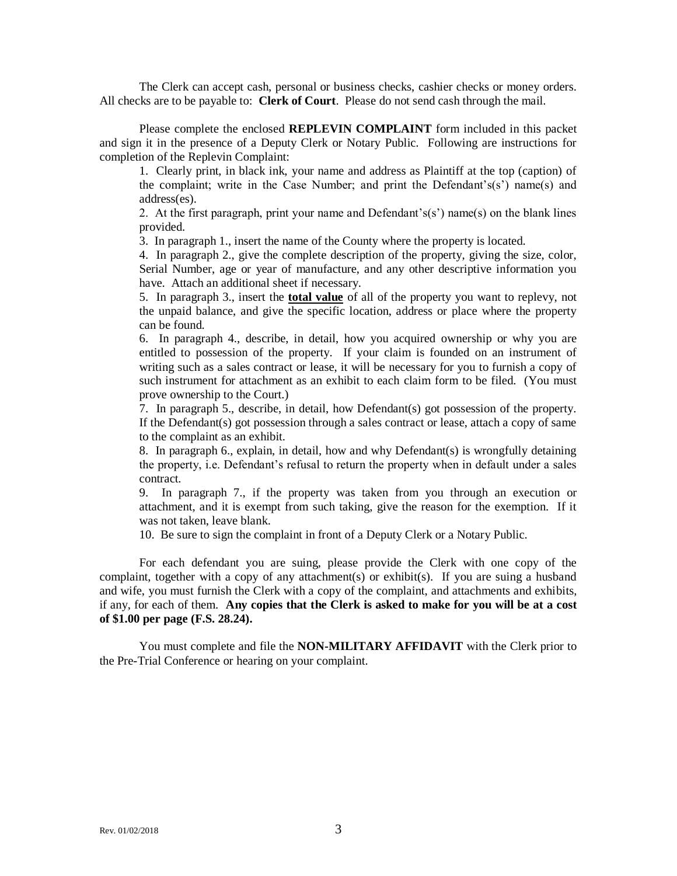The Clerk can accept cash, personal or business checks, cashier checks or money orders. All checks are to be payable to: **Clerk of Court**. Please do not send cash through the mail.

Please complete the enclosed **REPLEVIN COMPLAINT** form included in this packet and sign it in the presence of a Deputy Clerk or Notary Public. Following are instructions for completion of the Replevin Complaint:

1. Clearly print, in black ink, your name and address as Plaintiff at the top (caption) of the complaint; write in the Case Number; and print the Defendant's(s') name(s) and address(es).

2. At the first paragraph, print your name and Defendant's(s') name(s) on the blank lines provided.

3. In paragraph 1., insert the name of the County where the property is located.

4. In paragraph 2., give the complete description of the property, giving the size, color, Serial Number, age or year of manufacture, and any other descriptive information you have. Attach an additional sheet if necessary.

5. In paragraph 3., insert the **total value** of all of the property you want to replevy, not the unpaid balance, and give the specific location, address or place where the property can be found.

6. In paragraph 4., describe, in detail, how you acquired ownership or why you are entitled to possession of the property. If your claim is founded on an instrument of writing such as a sales contract or lease, it will be necessary for you to furnish a copy of such instrument for attachment as an exhibit to each claim form to be filed. (You must prove ownership to the Court.)

7. In paragraph 5., describe, in detail, how Defendant(s) got possession of the property. If the Defendant(s) got possession through a sales contract or lease, attach a copy of same to the complaint as an exhibit.

8. In paragraph 6., explain, in detail, how and why Defendant(s) is wrongfully detaining the property, i.e. Defendant's refusal to return the property when in default under a sales contract.

9. In paragraph 7., if the property was taken from you through an execution or attachment, and it is exempt from such taking, give the reason for the exemption. If it was not taken, leave blank.

10. Be sure to sign the complaint in front of a Deputy Clerk or a Notary Public.

For each defendant you are suing, please provide the Clerk with one copy of the complaint, together with a copy of any attachment(s) or exhibit(s). If you are suing a husband and wife, you must furnish the Clerk with a copy of the complaint, and attachments and exhibits, if any, for each of them. **Any copies that the Clerk is asked to make for you will be at a cost of \$1.00 per page (F.S. 28.24).**

You must complete and file the **NON-MILITARY AFFIDAVIT** with the Clerk prior to the Pre-Trial Conference or hearing on your complaint.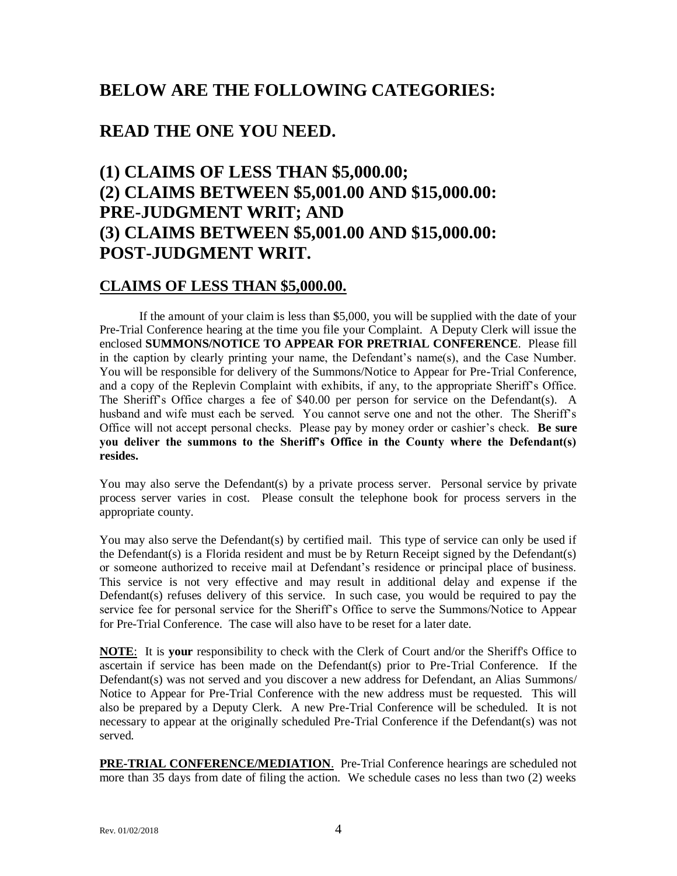## **BELOW ARE THE FOLLOWING CATEGORIES:**

## **READ THE ONE YOU NEED.**

## **(1) CLAIMS OF LESS THAN \$5,000.00; (2) CLAIMS BETWEEN \$5,001.00 AND \$15,000.00: PRE-JUDGMENT WRIT; AND (3) CLAIMS BETWEEN \$5,001.00 AND \$15,000.00: POST-JUDGMENT WRIT.**

## **CLAIMS OF LESS THAN \$5,000.00.**

If the amount of your claim is less than \$5,000, you will be supplied with the date of your Pre-Trial Conference hearing at the time you file your Complaint. A Deputy Clerk will issue the enclosed **SUMMONS/NOTICE TO APPEAR FOR PRETRIAL CONFERENCE**. Please fill in the caption by clearly printing your name, the Defendant's name(s), and the Case Number. You will be responsible for delivery of the Summons/Notice to Appear for Pre-Trial Conference, and a copy of the Replevin Complaint with exhibits, if any, to the appropriate Sheriff's Office. The Sheriff's Office charges a fee of \$40.00 per person for service on the Defendant(s). A husband and wife must each be served. You cannot serve one and not the other. The Sheriff's Office will not accept personal checks. Please pay by money order or cashier's check. **Be sure you deliver the summons to the Sheriff's Office in the County where the Defendant(s) resides.**

You may also serve the Defendant(s) by a private process server. Personal service by private process server varies in cost. Please consult the telephone book for process servers in the appropriate county.

You may also serve the Defendant(s) by certified mail. This type of service can only be used if the Defendant(s) is a Florida resident and must be by Return Receipt signed by the Defendant(s) or someone authorized to receive mail at Defendant's residence or principal place of business. This service is not very effective and may result in additional delay and expense if the Defendant(s) refuses delivery of this service. In such case, you would be required to pay the service fee for personal service for the Sheriff's Office to serve the Summons/Notice to Appear for Pre-Trial Conference. The case will also have to be reset for a later date.

**NOTE:** It is **your** responsibility to check with the Clerk of Court and/or the Sheriff's Office to ascertain if service has been made on the Defendant(s) prior to Pre-Trial Conference. If the Defendant(s) was not served and you discover a new address for Defendant, an Alias Summons/ Notice to Appear for Pre-Trial Conference with the new address must be requested. This will also be prepared by a Deputy Clerk. A new Pre-Trial Conference will be scheduled. It is not necessary to appear at the originally scheduled Pre-Trial Conference if the Defendant(s) was not served.

**PRE-TRIAL CONFERENCE/MEDIATION**. Pre-Trial Conference hearings are scheduled not more than 35 days from date of filing the action. We schedule cases no less than two (2) weeks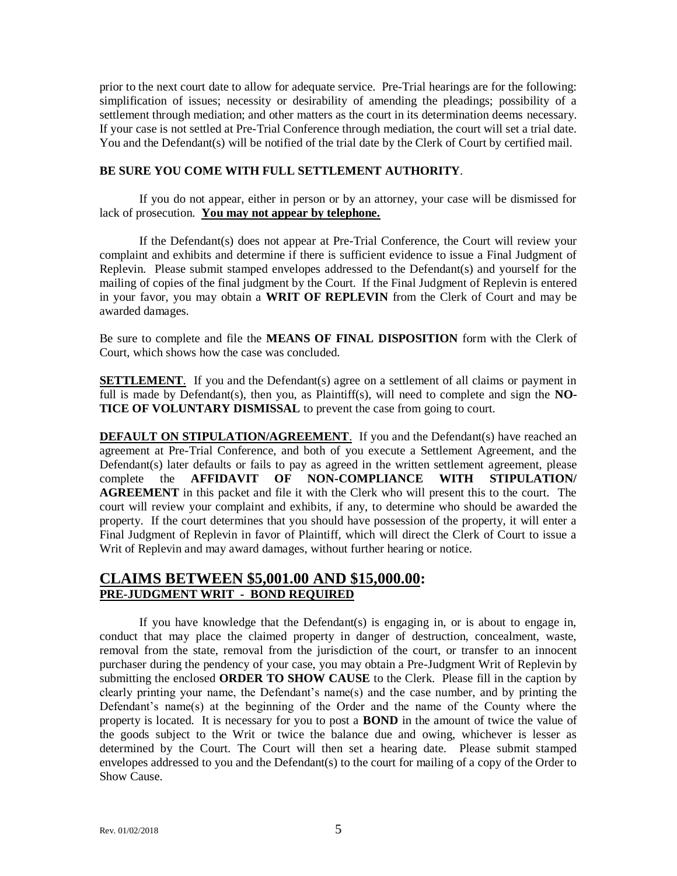prior to the next court date to allow for adequate service. Pre-Trial hearings are for the following: simplification of issues; necessity or desirability of amending the pleadings; possibility of a settlement through mediation; and other matters as the court in its determination deems necessary. If your case is not settled at Pre-Trial Conference through mediation, the court will set a trial date. You and the Defendant(s) will be notified of the trial date by the Clerk of Court by certified mail.

#### **BE SURE YOU COME WITH FULL SETTLEMENT AUTHORITY**.

If you do not appear, either in person or by an attorney, your case will be dismissed for lack of prosecution. **You may not appear by telephone.**

If the Defendant(s) does not appear at Pre-Trial Conference, the Court will review your complaint and exhibits and determine if there is sufficient evidence to issue a Final Judgment of Replevin. Please submit stamped envelopes addressed to the Defendant(s) and yourself for the mailing of copies of the final judgment by the Court. If the Final Judgment of Replevin is entered in your favor, you may obtain a **WRIT OF REPLEVIN** from the Clerk of Court and may be awarded damages.

Be sure to complete and file the **MEANS OF FINAL DISPOSITION** form with the Clerk of Court, which shows how the case was concluded.

**SETTLEMENT.** If you and the Defendant(s) agree on a settlement of all claims or payment in full is made by Defendant(s), then you, as Plaintiff(s), will need to complete and sign the **NO-TICE OF VOLUNTARY DISMISSAL** to prevent the case from going to court.

**DEFAULT ON STIPULATION/AGREEMENT.** If you and the Defendant(s) have reached an agreement at Pre-Trial Conference, and both of you execute a Settlement Agreement, and the Defendant(s) later defaults or fails to pay as agreed in the written settlement agreement, please complete the **AFFIDAVIT OF NON-COMPLIANCE WITH STIPULATION/ AGREEMENT** in this packet and file it with the Clerk who will present this to the court. The court will review your complaint and exhibits, if any, to determine who should be awarded the property. If the court determines that you should have possession of the property, it will enter a Final Judgment of Replevin in favor of Plaintiff, which will direct the Clerk of Court to issue a Writ of Replevin and may award damages, without further hearing or notice.

## **CLAIMS BETWEEN \$5,001.00 AND \$15,000.00: PRE-JUDGMENT WRIT - BOND REQUIRED**

If you have knowledge that the Defendant(s) is engaging in, or is about to engage in, conduct that may place the claimed property in danger of destruction, concealment, waste, removal from the state, removal from the jurisdiction of the court, or transfer to an innocent purchaser during the pendency of your case, you may obtain a Pre-Judgment Writ of Replevin by submitting the enclosed **ORDER TO SHOW CAUSE** to the Clerk. Please fill in the caption by clearly printing your name, the Defendant's name(s) and the case number, and by printing the Defendant's name(s) at the beginning of the Order and the name of the County where the property is located. It is necessary for you to post a **BOND** in the amount of twice the value of the goods subject to the Writ or twice the balance due and owing, whichever is lesser as determined by the Court. The Court will then set a hearing date. Please submit stamped envelopes addressed to you and the Defendant(s) to the court for mailing of a copy of the Order to Show Cause.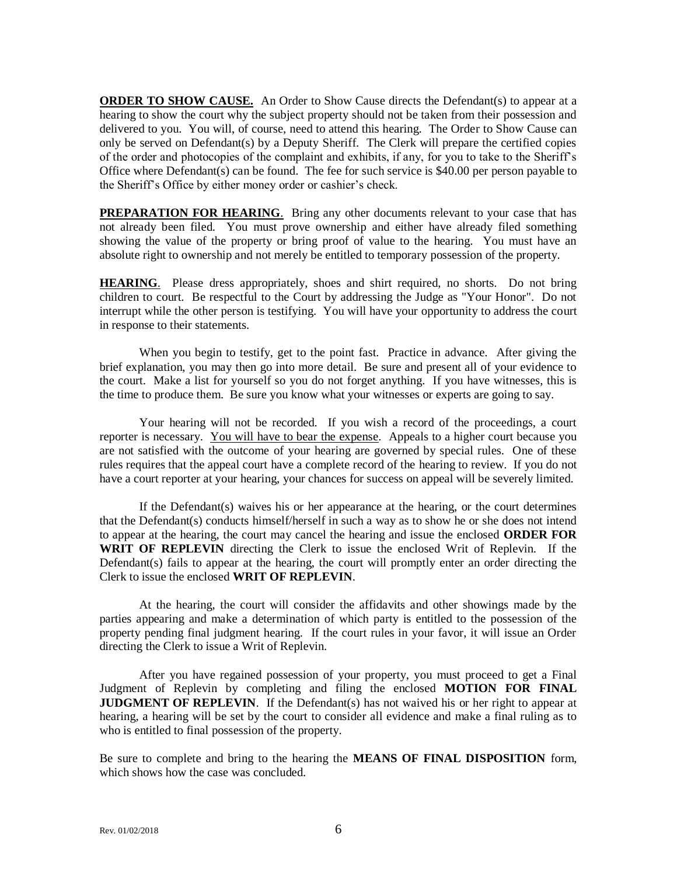**ORDER TO SHOW CAUSE.** An Order to Show Cause directs the Defendant(s) to appear at a hearing to show the court why the subject property should not be taken from their possession and delivered to you. You will, of course, need to attend this hearing. The Order to Show Cause can only be served on Defendant(s) by a Deputy Sheriff. The Clerk will prepare the certified copies of the order and photocopies of the complaint and exhibits, if any, for you to take to the Sheriff's Office where Defendant(s) can be found. The fee for such service is \$40.00 per person payable to the Sheriff's Office by either money order or cashier's check.

**PREPARATION FOR HEARING**. Bring any other documents relevant to your case that has not already been filed. You must prove ownership and either have already filed something showing the value of the property or bring proof of value to the hearing. You must have an absolute right to ownership and not merely be entitled to temporary possession of the property.

**HEARING**. Please dress appropriately, shoes and shirt required, no shorts. Do not bring children to court. Be respectful to the Court by addressing the Judge as "Your Honor". Do not interrupt while the other person is testifying. You will have your opportunity to address the court in response to their statements.

When you begin to testify, get to the point fast. Practice in advance. After giving the brief explanation, you may then go into more detail. Be sure and present all of your evidence to the court. Make a list for yourself so you do not forget anything. If you have witnesses, this is the time to produce them. Be sure you know what your witnesses or experts are going to say.

Your hearing will not be recorded. If you wish a record of the proceedings, a court reporter is necessary. You will have to bear the expense. Appeals to a higher court because you are not satisfied with the outcome of your hearing are governed by special rules. One of these rules requires that the appeal court have a complete record of the hearing to review. If you do not have a court reporter at your hearing, your chances for success on appeal will be severely limited.

If the Defendant(s) waives his or her appearance at the hearing, or the court determines that the Defendant(s) conducts himself/herself in such a way as to show he or she does not intend to appear at the hearing, the court may cancel the hearing and issue the enclosed **ORDER FOR WRIT OF REPLEVIN** directing the Clerk to issue the enclosed Writ of Replevin. If the Defendant(s) fails to appear at the hearing, the court will promptly enter an order directing the Clerk to issue the enclosed **WRIT OF REPLEVIN**.

At the hearing, the court will consider the affidavits and other showings made by the parties appearing and make a determination of which party is entitled to the possession of the property pending final judgment hearing. If the court rules in your favor, it will issue an Order directing the Clerk to issue a Writ of Replevin.

After you have regained possession of your property, you must proceed to get a Final Judgment of Replevin by completing and filing the enclosed **MOTION FOR FINAL JUDGMENT OF REPLEVIN.** If the Defendant(s) has not waived his or her right to appear at hearing, a hearing will be set by the court to consider all evidence and make a final ruling as to who is entitled to final possession of the property.

Be sure to complete and bring to the hearing the **MEANS OF FINAL DISPOSITION** form, which shows how the case was concluded.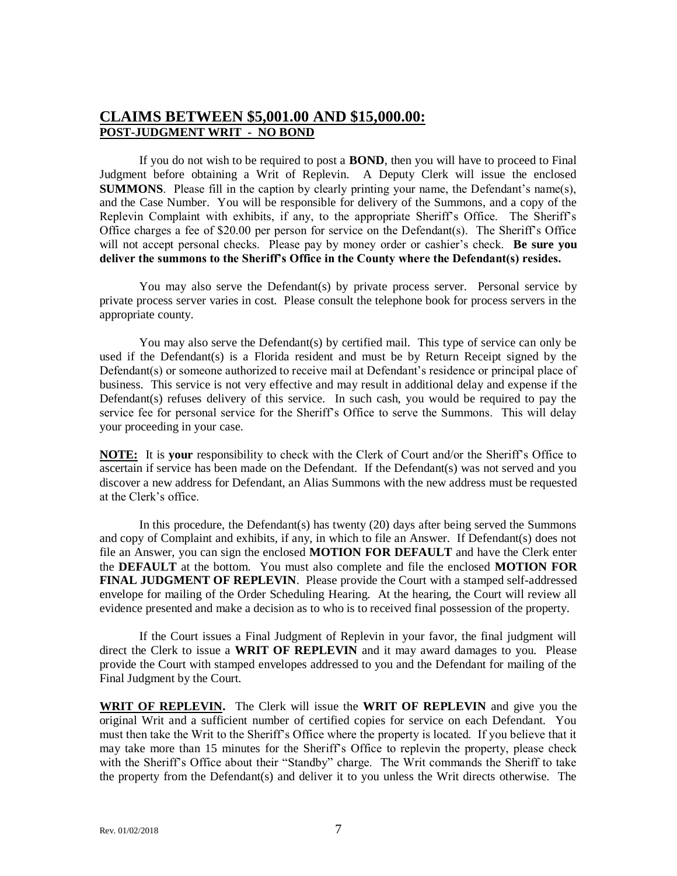## **CLAIMS BETWEEN \$5,001.00 AND \$15,000.00: POST-JUDGMENT WRIT - NO BOND**

If you do not wish to be required to post a **BOND**, then you will have to proceed to Final Judgment before obtaining a Writ of Replevin. A Deputy Clerk will issue the enclosed **SUMMONS**. Please fill in the caption by clearly printing your name, the Defendant's name(s), and the Case Number. You will be responsible for delivery of the Summons, and a copy of the Replevin Complaint with exhibits, if any, to the appropriate Sheriff's Office. The Sheriff's Office charges a fee of \$20.00 per person for service on the Defendant(s). The Sheriff's Office will not accept personal checks. Please pay by money order or cashier's check. **Be sure you deliver the summons to the Sheriff's Office in the County where the Defendant(s) resides.**

You may also serve the Defendant(s) by private process server. Personal service by private process server varies in cost. Please consult the telephone book for process servers in the appropriate county.

You may also serve the Defendant(s) by certified mail. This type of service can only be used if the Defendant(s) is a Florida resident and must be by Return Receipt signed by the Defendant(s) or someone authorized to receive mail at Defendant's residence or principal place of business. This service is not very effective and may result in additional delay and expense if the Defendant(s) refuses delivery of this service. In such cash, you would be required to pay the service fee for personal service for the Sheriff's Office to serve the Summons. This will delay your proceeding in your case.

**NOTE:** It is **your** responsibility to check with the Clerk of Court and/or the Sheriff's Office to ascertain if service has been made on the Defendant. If the Defendant(s) was not served and you discover a new address for Defendant, an Alias Summons with the new address must be requested at the Clerk's office.

In this procedure, the Defendant(s) has twenty  $(20)$  days after being served the Summons and copy of Complaint and exhibits, if any, in which to file an Answer. If Defendant(s) does not file an Answer, you can sign the enclosed **MOTION FOR DEFAULT** and have the Clerk enter the **DEFAULT** at the bottom. You must also complete and file the enclosed **MOTION FOR FINAL JUDGMENT OF REPLEVIN**. Please provide the Court with a stamped self-addressed envelope for mailing of the Order Scheduling Hearing. At the hearing, the Court will review all evidence presented and make a decision as to who is to received final possession of the property.

If the Court issues a Final Judgment of Replevin in your favor, the final judgment will direct the Clerk to issue a **WRIT OF REPLEVIN** and it may award damages to you. Please provide the Court with stamped envelopes addressed to you and the Defendant for mailing of the Final Judgment by the Court.

**WRIT OF REPLEVIN.** The Clerk will issue the **WRIT OF REPLEVIN** and give you the original Writ and a sufficient number of certified copies for service on each Defendant. You must then take the Writ to the Sheriff's Office where the property is located. If you believe that it may take more than 15 minutes for the Sheriff's Office to replevin the property, please check with the Sheriff's Office about their "Standby" charge. The Writ commands the Sheriff to take the property from the Defendant(s) and deliver it to you unless the Writ directs otherwise. The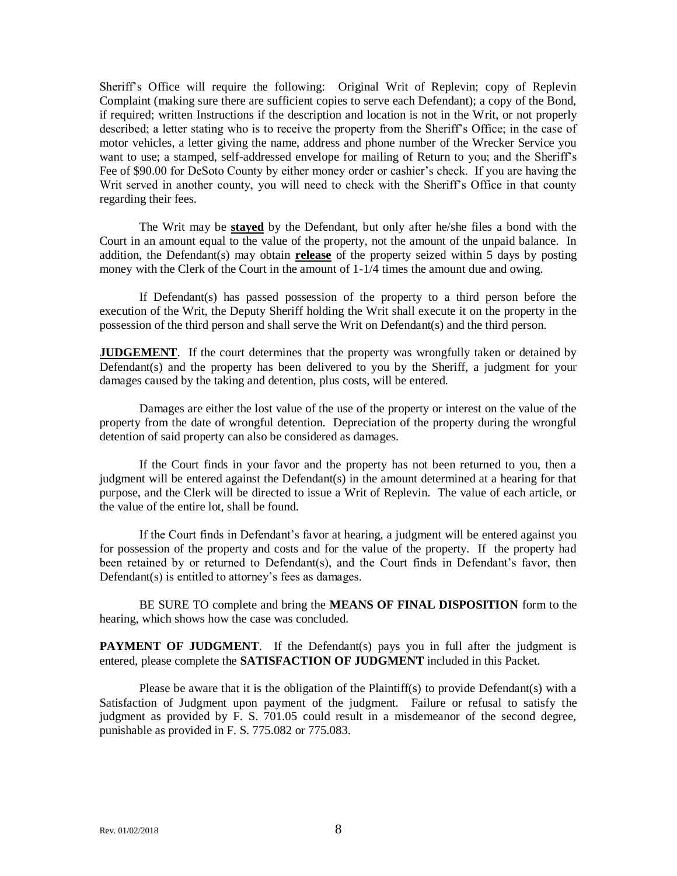Sheriff's Office will require the following: Original Writ of Replevin; copy of Replevin Complaint (making sure there are sufficient copies to serve each Defendant); a copy of the Bond, if required; written Instructions if the description and location is not in the Writ, or not properly described; a letter stating who is to receive the property from the Sheriff's Office; in the case of motor vehicles, a letter giving the name, address and phone number of the Wrecker Service you want to use; a stamped, self-addressed envelope for mailing of Return to you; and the Sheriff's Fee of \$90.00 for DeSoto County by either money order or cashier's check. If you are having the Writ served in another county, you will need to check with the Sheriff's Office in that county regarding their fees.

The Writ may be **stayed** by the Defendant, but only after he/she files a bond with the Court in an amount equal to the value of the property, not the amount of the unpaid balance. In addition, the Defendant(s) may obtain **release** of the property seized within 5 days by posting money with the Clerk of the Court in the amount of  $1-1/4$  times the amount due and owing.

If Defendant(s) has passed possession of the property to a third person before the execution of the Writ, the Deputy Sheriff holding the Writ shall execute it on the property in the possession of the third person and shall serve the Writ on Defendant(s) and the third person.

**JUDGEMENT**. If the court determines that the property was wrongfully taken or detained by Defendant(s) and the property has been delivered to you by the Sheriff, a judgment for your damages caused by the taking and detention, plus costs, will be entered.

Damages are either the lost value of the use of the property or interest on the value of the property from the date of wrongful detention. Depreciation of the property during the wrongful detention of said property can also be considered as damages.

If the Court finds in your favor and the property has not been returned to you, then a judgment will be entered against the Defendant(s) in the amount determined at a hearing for that purpose, and the Clerk will be directed to issue a Writ of Replevin. The value of each article, or the value of the entire lot, shall be found.

If the Court finds in Defendant's favor at hearing, a judgment will be entered against you for possession of the property and costs and for the value of the property. If the property had been retained by or returned to Defendant(s), and the Court finds in Defendant's favor, then Defendant(s) is entitled to attorney's fees as damages.

BE SURE TO complete and bring the **MEANS OF FINAL DISPOSITION** form to the hearing, which shows how the case was concluded.

**PAYMENT OF JUDGMENT**. If the Defendant(s) pays you in full after the judgment is entered, please complete the **SATISFACTION OF JUDGMENT** included in this Packet.

Please be aware that it is the obligation of the Plaintiff(s) to provide Defendant(s) with a Satisfaction of Judgment upon payment of the judgment. Failure or refusal to satisfy the judgment as provided by F. S. 701.05 could result in a misdemeanor of the second degree, punishable as provided in F. S. 775.082 or 775.083.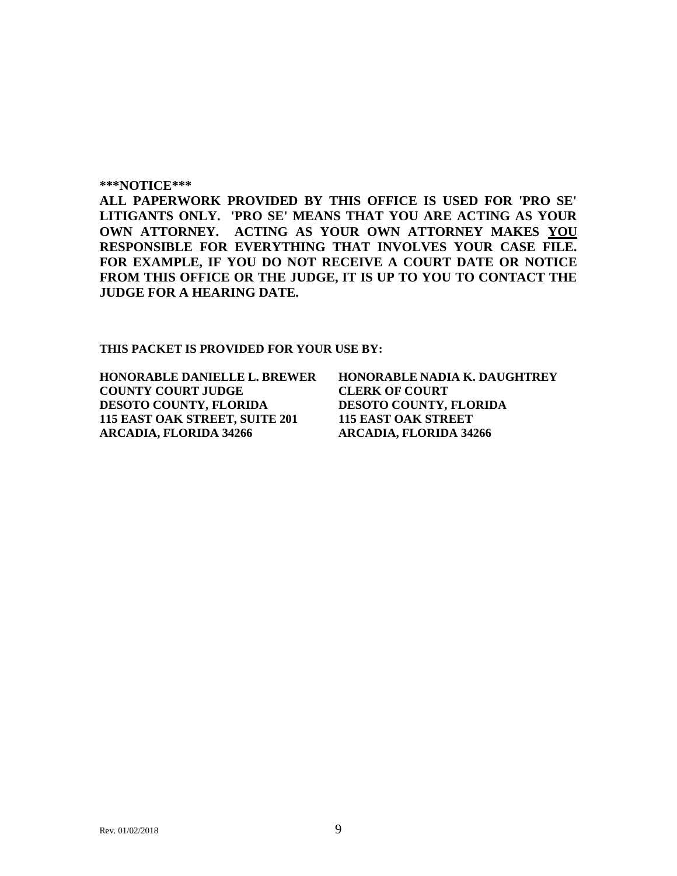#### **\*\*\*NOTICE\*\*\***

**ALL PAPERWORK PROVIDED BY THIS OFFICE IS USED FOR 'PRO SE' LITIGANTS ONLY. 'PRO SE' MEANS THAT YOU ARE ACTING AS YOUR OWN ATTORNEY. ACTING AS YOUR OWN ATTORNEY MAKES YOU RESPONSIBLE FOR EVERYTHING THAT INVOLVES YOUR CASE FILE. FOR EXAMPLE, IF YOU DO NOT RECEIVE A COURT DATE OR NOTICE FROM THIS OFFICE OR THE JUDGE, IT IS UP TO YOU TO CONTACT THE JUDGE FOR A HEARING DATE.**

**THIS PACKET IS PROVIDED FOR YOUR USE BY:**

**COUNTY COURT JUDGE CLERK OF COURT DESOTO COUNTY, FLORIDA DESOTO COUNTY, FLORIDA 115 EAST OAK STREET, SUITE 201 115 EAST OAK STREET ARCADIA, FLORIDA 34266 ARCADIA, FLORIDA 34266**

**HONORABLE DANIELLE L. BREWER HONORABLE NADIA K. DAUGHTREY**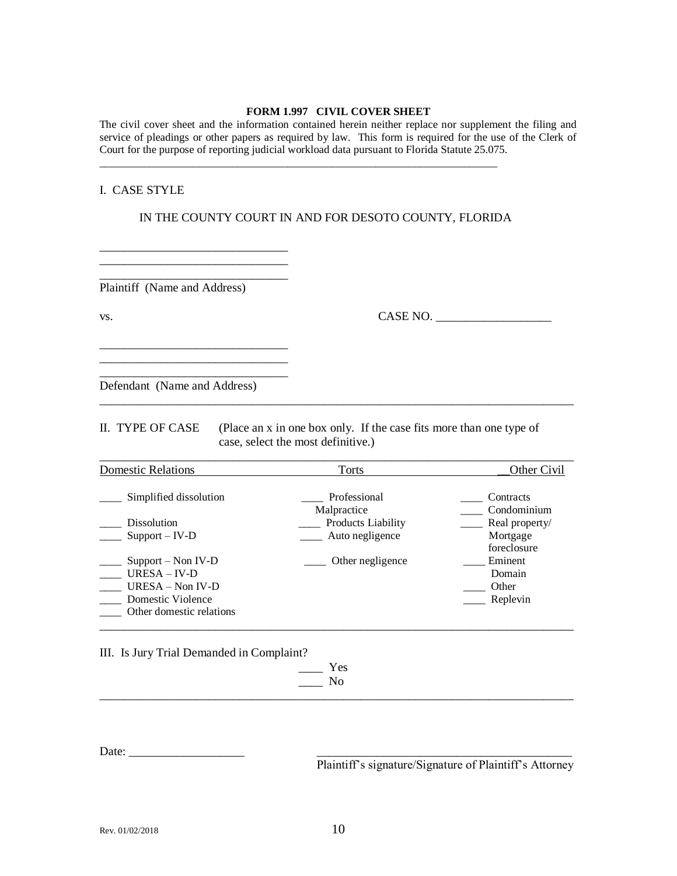#### **FORM 1.997 CIVIL COVER SHEET**

The civil cover sheet and the information contained herein neither replace nor supplement the filing and service of pleadings or other papers as required by law. This form is required for the use of the Clerk of Court for the purpose of reporting judicial workload data pursuant to Florida Statute 25.075.

#### I. CASE STYLE

IN THE COUNTY COURT IN AND FOR DESOTO COUNTY, FLORIDA

\_\_\_\_\_\_\_\_\_\_\_\_\_\_\_\_\_\_\_\_\_\_\_\_\_\_\_\_\_\_\_\_\_\_\_\_\_\_\_\_\_\_\_\_\_\_\_\_\_\_\_\_\_\_\_\_\_\_\_\_\_\_\_\_\_\_\_\_\_\_\_\_

Plaintiff (Name and Address)

\_\_\_\_\_\_\_\_\_\_\_\_\_\_\_\_\_\_\_\_\_\_\_\_\_\_\_\_\_\_\_

\_\_\_\_\_\_\_\_\_\_\_\_\_\_\_\_\_\_\_\_\_\_\_\_\_\_\_\_\_\_\_

\_\_\_\_\_\_\_\_\_\_\_\_\_\_\_\_\_\_\_\_\_\_\_\_\_\_\_\_\_\_\_ \_\_\_\_\_\_\_\_\_\_\_\_\_\_\_\_\_\_\_\_\_\_\_\_\_\_\_\_\_\_\_ \_\_\_\_\_\_\_\_\_\_\_\_\_\_\_\_\_\_\_\_\_\_\_\_\_\_\_\_\_\_\_

vs. 2008. CASE NO. 2008. CASE NO. 2008. CASE NO. 2008. 2009. CASE NO. 2008. 2009. 2014. The CASE NO. 2008. 2014. The CASE NO. 2008. 2014. 2015. 2016. 2017. 2017. 2016. 2017. 2017. 2017. 2017. 2017. 2017. 2017. 2017. 2017.

Defendant (Name and Address)

II. TYPE OF CASE (Place an x in one box only. If the case fits more than one type of case, select the most definitive.)

\_\_\_\_\_\_\_\_\_\_\_\_\_\_\_\_\_\_\_\_\_\_\_\_\_\_\_\_\_\_\_\_\_\_\_\_\_\_\_\_\_\_\_\_\_\_\_\_\_\_\_\_\_\_\_\_\_\_\_\_\_\_\_\_\_\_\_\_\_\_\_\_\_\_\_\_\_\_

| <b>Domestic Relations</b> | Torts                       | Other Civil              |
|---------------------------|-----------------------------|--------------------------|
| Simplified dissolution    | Professional<br>Malpractice | Contracts<br>Condominium |
| <b>Dissolution</b>        | <b>Products Liability</b>   | Real property/           |
| $Support - IV-D$          | Auto negligence             | Mortgage<br>foreclosure  |
| $Support - Non IV-D$      | Other negligence            | Eminent                  |
| $URESA - IV-D$            |                             | Domain                   |
| URESA - Non IV-D          |                             | Other                    |
| Domestic Violence         |                             | Replevin                 |
| Other domestic relations  |                             |                          |

\_\_\_\_\_\_\_\_\_\_\_\_\_\_\_\_\_\_\_\_\_\_\_\_\_\_\_\_\_\_\_\_\_\_\_\_\_\_\_\_\_\_\_\_\_\_\_\_\_\_\_\_\_\_\_\_\_\_\_\_\_\_\_\_\_\_\_\_\_\_\_\_\_\_\_\_\_\_

III. Is Jury Trial Demanded in Complaint?

 $\equiv$  Yes  $\_\_\_\$  No \_\_\_\_\_\_\_\_\_\_\_\_\_\_\_\_\_\_\_\_\_\_\_\_\_\_\_\_\_\_\_\_\_\_\_\_\_\_\_\_\_\_\_\_\_\_\_\_\_\_\_\_\_\_\_\_\_\_\_\_\_\_\_\_\_\_\_\_\_\_\_\_\_\_\_\_\_\_

Date: \_\_\_\_\_\_\_\_\_\_\_\_\_\_\_\_\_\_\_ \_\_\_\_\_\_\_\_\_\_\_\_\_\_\_\_\_\_\_\_\_\_\_\_\_\_\_\_\_\_\_\_\_\_\_\_\_\_\_\_\_\_

Plaintiff's signature/Signature of Plaintiff's Attorney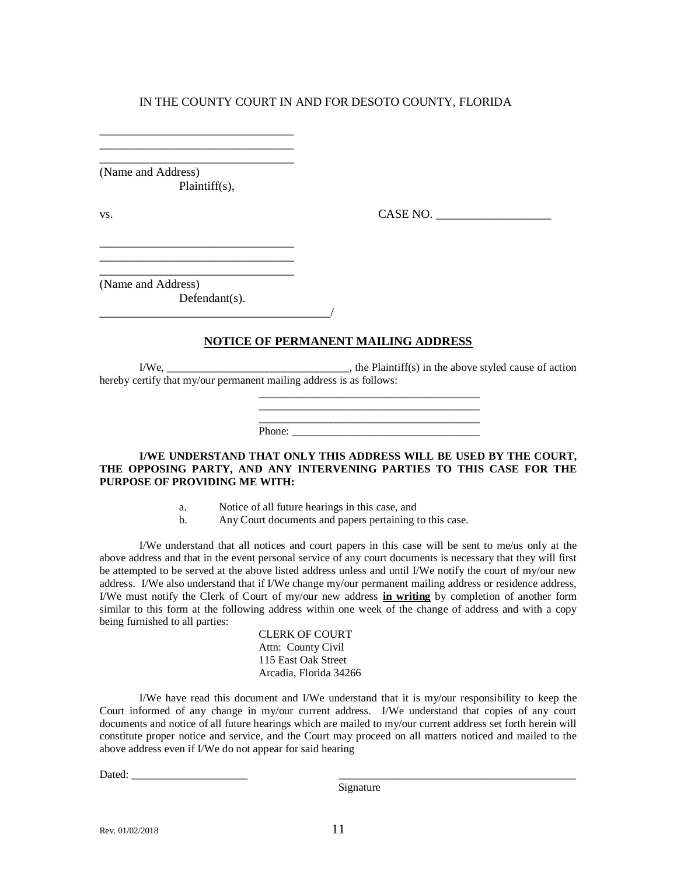\_\_\_\_\_\_\_\_\_\_\_\_\_\_\_\_\_\_\_\_\_\_\_\_\_\_\_\_\_\_\_\_ (Name and Address) Plaintiff(s),

\_\_\_\_\_\_\_\_\_\_\_\_\_\_\_\_\_\_\_\_\_\_\_\_\_\_\_\_\_\_\_\_

\_\_\_\_\_\_\_\_\_\_\_\_\_\_\_\_\_\_\_\_\_\_\_\_\_\_\_\_\_\_\_\_ \_\_\_\_\_\_\_\_\_\_\_\_\_\_\_\_\_\_\_\_\_\_\_\_\_\_\_\_\_\_\_\_ \_\_\_\_\_\_\_\_\_\_\_\_\_\_\_\_\_\_\_\_\_\_\_\_\_\_\_\_\_\_\_\_

 $\text{v}_\text{s}$ .  $\text{CASE NO.}$ 

(Name and Address)

Defendant(s).

### **NOTICE OF PERMANENT MAILING ADDRESS**

 $I/We$ ,  $\qquad \qquad$   $\qquad \qquad$   $\qquad \qquad$  the Plaintiff(s) in the above styled cause of action hereby certify that my/our permanent mailing address is as follows:

\_\_\_\_\_\_\_\_\_\_\_\_\_\_\_\_\_\_\_\_\_\_\_\_\_\_\_\_\_\_\_\_\_\_\_\_\_\_\_\_

\_\_\_\_\_\_\_\_\_\_\_\_\_\_\_\_\_\_\_\_\_\_\_\_\_\_\_\_\_\_\_\_\_\_\_\_\_\_\_\_ Phone:

**I/WE UNDERSTAND THAT ONLY THIS ADDRESS WILL BE USED BY THE COURT, THE OPPOSING PARTY, AND ANY INTERVENING PARTIES TO THIS CASE FOR THE PURPOSE OF PROVIDING ME WITH:**

- a. Notice of all future hearings in this case, and
- b. Any Court documents and papers pertaining to this case.

I/We understand that all notices and court papers in this case will be sent to me/us only at the above address and that in the event personal service of any court documents is necessary that they will first be attempted to be served at the above listed address unless and until I/We notify the court of my/our new address. I/We also understand that if I/We change my/our permanent mailing address or residence address, I/We must notify the Clerk of Court of my/our new address **in writing** by completion of another form similar to this form at the following address within one week of the change of address and with a copy being furnished to all parties:

> CLERK OF COURT Attn: County Civil 115 East Oak Street Arcadia, Florida 34266

I/We have read this document and I/We understand that it is my/our responsibility to keep the Court informed of any change in my/our current address. I/We understand that copies of any court documents and notice of all future hearings which are mailed to my/our current address set forth herein will constitute proper notice and service, and the Court may proceed on all matters noticed and mailed to the above address even if I/We do not appear for said hearing

Dated: \_\_\_\_\_\_\_\_\_\_\_\_\_\_\_\_\_\_\_\_\_ \_\_\_\_\_\_\_\_\_\_\_\_\_\_\_\_\_\_\_\_\_\_\_\_\_\_\_\_\_\_\_\_\_\_\_\_\_\_\_\_\_\_\_

Signature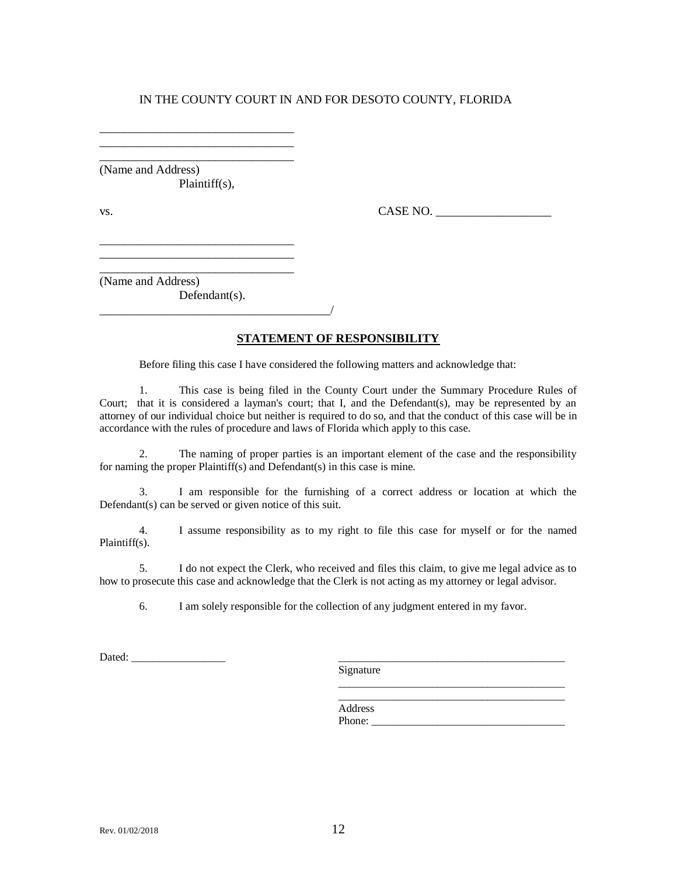\_\_\_\_\_\_\_\_\_\_\_\_\_\_\_\_\_\_\_\_\_\_\_\_\_\_\_\_\_\_\_\_ (Name and Address) Plaintiff(s),

\_\_\_\_\_\_\_\_\_\_\_\_\_\_\_\_\_\_\_\_\_\_\_\_\_\_\_\_\_\_\_\_ \_\_\_\_\_\_\_\_\_\_\_\_\_\_\_\_\_\_\_\_\_\_\_\_\_\_\_\_\_\_\_\_

\_\_\_\_\_\_\_\_\_\_\_\_\_\_\_\_\_\_\_\_\_\_\_\_\_\_\_\_\_\_\_\_ \_\_\_\_\_\_\_\_\_\_\_\_\_\_\_\_\_\_\_\_\_\_\_\_\_\_\_\_\_\_\_\_

\_\_\_\_\_\_\_\_\_\_\_\_\_\_\_\_\_\_\_\_\_\_\_\_\_\_\_\_\_\_\_\_\_\_\_\_\_\_/

vs.  $CASE NO.$ 

\_\_\_\_\_\_\_\_\_\_\_\_\_\_\_\_\_\_\_\_\_\_\_\_\_\_\_\_\_\_\_\_ (Name and Address) Defendant(s).

#### **STATEMENT OF RESPONSIBILITY**

Before filing this case I have considered the following matters and acknowledge that:

1. This case is being filed in the County Court under the Summary Procedure Rules of Court; that it is considered a layman's court; that I, and the Defendant(s), may be represented by an attorney of our individual choice but neither is required to do so, and that the conduct of this case will be in accordance with the rules of procedure and laws of Florida which apply to this case.

2. The naming of proper parties is an important element of the case and the responsibility for naming the proper Plaintiff(s) and Defendant(s) in this case is mine.

3. I am responsible for the furnishing of a correct address or location at which the Defendant(s) can be served or given notice of this suit.

4. I assume responsibility as to my right to file this case for myself or for the named Plaintiff(s).

5. I do not expect the Clerk, who received and files this claim, to give me legal advice as to how to prosecute this case and acknowledge that the Clerk is not acting as my attorney or legal advisor.

6. I am solely responsible for the collection of any judgment entered in my favor.

Dated: \_\_\_\_\_\_\_\_\_\_\_\_\_\_\_\_\_ \_\_\_\_\_\_\_\_\_\_\_\_\_\_\_\_\_\_\_\_\_\_\_\_\_\_\_\_\_\_\_\_\_\_\_\_\_\_\_\_\_

Signature

Address Phone: \_\_\_\_\_\_\_\_\_\_\_\_\_\_\_\_\_\_\_\_\_\_\_\_\_\_\_\_\_\_\_\_\_\_\_

\_\_\_\_\_\_\_\_\_\_\_\_\_\_\_\_\_\_\_\_\_\_\_\_\_\_\_\_\_\_\_\_\_\_\_\_\_\_\_\_\_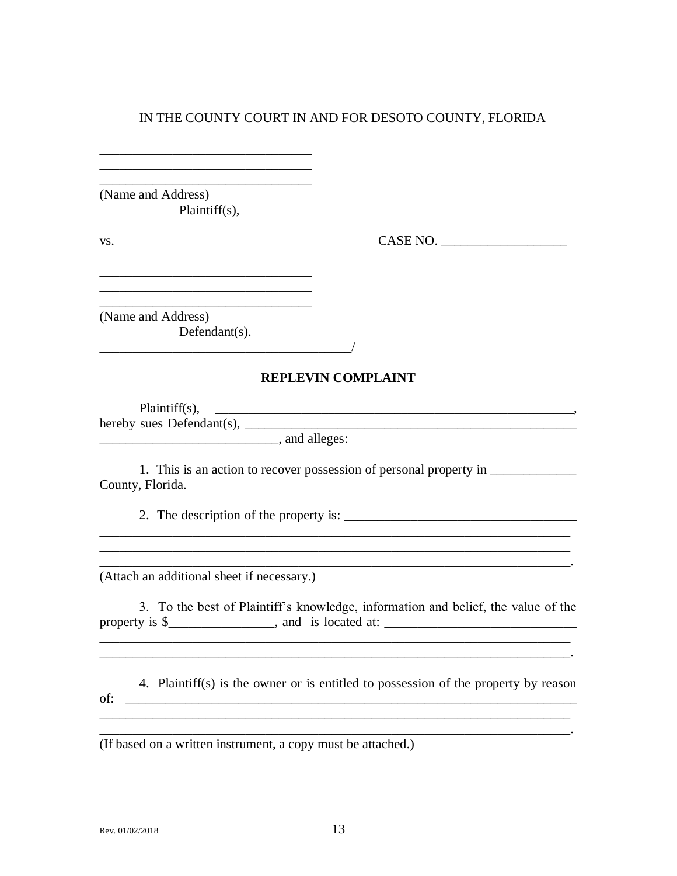\_\_\_\_\_\_\_\_\_\_\_\_\_\_\_\_\_\_\_\_\_\_\_\_\_\_\_\_\_\_\_\_ (Name and Address) Plaintiff(s),

\_\_\_\_\_\_\_\_\_\_\_\_\_\_\_\_\_\_\_\_\_\_\_\_\_\_\_\_\_\_\_\_ \_\_\_\_\_\_\_\_\_\_\_\_\_\_\_\_\_\_\_\_\_\_\_\_\_\_\_\_\_\_\_\_

\_\_\_\_\_\_\_\_\_\_\_\_\_\_\_\_\_\_\_\_\_\_\_\_\_\_\_\_\_\_\_\_

vs. CASE NO. \_\_\_\_\_\_\_\_\_\_\_\_\_\_\_\_\_\_\_

\_\_\_\_\_\_\_\_\_\_\_\_\_\_\_\_\_\_\_\_\_\_\_\_\_\_\_\_\_\_\_\_ (Name and Address) Defendant(s).

#### **REPLEVIN COMPLAINT**

 $Plaintiff(s), \quad \underline{\hspace{2cm}}$ hereby sues Defendant(s), \_\_\_\_\_\_\_\_\_\_\_\_\_\_\_\_\_\_\_\_\_\_\_\_\_\_\_\_\_\_\_\_\_\_\_\_\_\_\_\_\_\_\_\_\_\_\_\_\_\_ \_\_\_\_\_\_\_\_\_\_\_\_\_\_\_\_\_\_\_\_\_\_\_\_\_\_\_, and alleges:

1. This is an action to recover possession of personal property in County, Florida.

2. The description of the property is:  $\frac{1}{2}$   $\frac{1}{2}$   $\frac{1}{2}$   $\frac{1}{2}$   $\frac{1}{2}$   $\frac{1}{2}$   $\frac{1}{2}$   $\frac{1}{2}$   $\frac{1}{2}$   $\frac{1}{2}$   $\frac{1}{2}$   $\frac{1}{2}$   $\frac{1}{2}$   $\frac{1}{2}$   $\frac{1}{2}$   $\frac{1}{2}$   $\frac{1}{2}$   $\frac{1}{2}$   $\$ 

\_\_\_\_\_\_\_\_\_\_\_\_\_\_\_\_\_\_\_\_\_\_\_\_\_\_\_\_\_\_\_\_\_\_\_\_\_\_/

(Attach an additional sheet if necessary.)

3. To the best of Plaintiff's knowledge, information and belief, the value of the property is \$\_\_\_\_\_\_\_\_\_\_\_\_\_\_\_\_, and is located at: \_\_\_\_\_\_\_\_\_\_\_\_\_\_\_\_\_\_\_\_\_\_\_\_\_\_\_\_\_

\_\_\_\_\_\_\_\_\_\_\_\_\_\_\_\_\_\_\_\_\_\_\_\_\_\_\_\_\_\_\_\_\_\_\_\_\_\_\_\_\_\_\_\_\_\_\_\_\_\_\_\_\_\_\_\_\_\_\_\_\_\_\_\_\_\_\_\_\_\_\_ \_\_\_\_\_\_\_\_\_\_\_\_\_\_\_\_\_\_\_\_\_\_\_\_\_\_\_\_\_\_\_\_\_\_\_\_\_\_\_\_\_\_\_\_\_\_\_\_\_\_\_\_\_\_\_\_\_\_\_\_\_\_\_\_\_\_\_\_\_\_\_.

\_\_\_\_\_\_\_\_\_\_\_\_\_\_\_\_\_\_\_\_\_\_\_\_\_\_\_\_\_\_\_\_\_\_\_\_\_\_\_\_\_\_\_\_\_\_\_\_\_\_\_\_\_\_\_\_\_\_\_\_\_\_\_\_\_\_\_\_\_\_\_

\_\_\_\_\_\_\_\_\_\_\_\_\_\_\_\_\_\_\_\_\_\_\_\_\_\_\_\_\_\_\_\_\_\_\_\_\_\_\_\_\_\_\_\_\_\_\_\_\_\_\_\_\_\_\_\_\_\_\_\_\_\_\_\_\_\_\_\_\_\_\_

 $\mathcal{L}_\mathcal{L} = \mathcal{L}_\mathcal{L} = \mathcal{L}_\mathcal{L} = \mathcal{L}_\mathcal{L} = \mathcal{L}_\mathcal{L} = \mathcal{L}_\mathcal{L} = \mathcal{L}_\mathcal{L} = \mathcal{L}_\mathcal{L} = \mathcal{L}_\mathcal{L} = \mathcal{L}_\mathcal{L} = \mathcal{L}_\mathcal{L} = \mathcal{L}_\mathcal{L} = \mathcal{L}_\mathcal{L} = \mathcal{L}_\mathcal{L} = \mathcal{L}_\mathcal{L} = \mathcal{L}_\mathcal{L} = \mathcal{L}_\mathcal{L}$ 

 $\mathcal{L}=\mathcal{L}=\mathcal{L}=\mathcal{L}=\mathcal{L}=\mathcal{L}=\mathcal{L}=\mathcal{L}=\mathcal{L}=\mathcal{L}=\mathcal{L}=\mathcal{L}=\mathcal{L}=\mathcal{L}=\mathcal{L}=\mathcal{L}=\mathcal{L}=\mathcal{L}=\mathcal{L}=\mathcal{L}=\mathcal{L}=\mathcal{L}=\mathcal{L}=\mathcal{L}=\mathcal{L}=\mathcal{L}=\mathcal{L}=\mathcal{L}=\mathcal{L}=\mathcal{L}=\mathcal{L}=\mathcal{L}=\mathcal{L}=\mathcal{L}=\mathcal{L}=\mathcal{L}=\mathcal{$ 

4. Plaintiff(s) is the owner or is entitled to possession of the property by reason of: \_\_\_\_\_\_\_\_\_\_\_\_\_\_\_\_\_\_\_\_\_\_\_\_\_\_\_\_\_\_\_\_\_\_\_\_\_\_\_\_\_\_\_\_\_\_\_\_\_\_\_\_\_\_\_\_\_\_\_\_\_\_\_\_\_\_\_\_ \_\_\_\_\_\_\_\_\_\_\_\_\_\_\_\_\_\_\_\_\_\_\_\_\_\_\_\_\_\_\_\_\_\_\_\_\_\_\_\_\_\_\_\_\_\_\_\_\_\_\_\_\_\_\_\_\_\_\_\_\_\_\_\_\_\_\_\_\_\_\_

(If based on a written instrument, a copy must be attached.)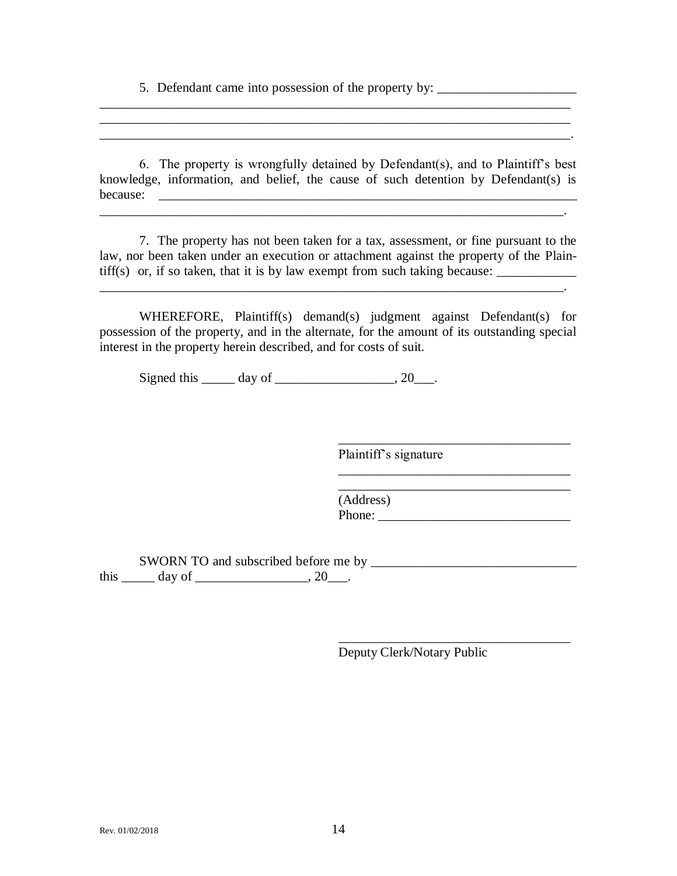5. Defendant came into possession of the property by: \_\_\_\_\_\_\_\_\_\_\_\_\_\_\_\_\_\_\_\_\_\_\_\_\_\_

6. The property is wrongfully detained by Defendant(s), and to Plaintiff's best knowledge, information, and belief, the cause of such detention by Defendant(s) is because: \_\_\_\_\_\_\_\_\_\_\_\_\_\_\_\_\_\_\_\_\_\_\_\_\_\_\_\_\_\_\_\_\_\_\_\_\_\_\_\_\_\_\_\_\_\_\_\_\_\_\_\_\_\_\_\_\_\_\_\_\_\_\_

 $\mathcal{L}_\text{max} = \mathcal{L}_\text{max} = \mathcal{L}_\text{max} = \mathcal{L}_\text{max} = \mathcal{L}_\text{max} = \mathcal{L}_\text{max} = \mathcal{L}_\text{max} = \mathcal{L}_\text{max} = \mathcal{L}_\text{max} = \mathcal{L}_\text{max} = \mathcal{L}_\text{max} = \mathcal{L}_\text{max} = \mathcal{L}_\text{max} = \mathcal{L}_\text{max} = \mathcal{L}_\text{max} = \mathcal{L}_\text{max} = \mathcal{L}_\text{max} = \mathcal{L}_\text{max} = \mathcal{$ 

\_\_\_\_\_\_\_\_\_\_\_\_\_\_\_\_\_\_\_\_\_\_\_\_\_\_\_\_\_\_\_\_\_\_\_\_\_\_\_\_\_\_\_\_\_\_\_\_\_\_\_\_\_\_\_\_\_\_\_\_\_\_\_\_\_\_\_\_\_\_\_ \_\_\_\_\_\_\_\_\_\_\_\_\_\_\_\_\_\_\_\_\_\_\_\_\_\_\_\_\_\_\_\_\_\_\_\_\_\_\_\_\_\_\_\_\_\_\_\_\_\_\_\_\_\_\_\_\_\_\_\_\_\_\_\_\_\_\_\_\_\_\_  $\mathcal{L}_\text{max}$  and the contribution of the contribution of the contribution of the contribution of the contribution of

7. The property has not been taken for a tax, assessment, or fine pursuant to the law, nor been taken under an execution or attachment against the property of the Plain- $\text{tiff}(s)$  or, if so taken, that it is by law exempt from such taking because:  $\frac{1}{s}$ 

WHEREFORE, Plaintiff(s) demand(s) judgment against Defendant(s) for possession of the property, and in the alternate, for the amount of its outstanding special interest in the property herein described, and for costs of suit.

Signed this  $\qquad \qquad \text{day of} \qquad \qquad .20 \qquad .$ 

\_\_\_\_\_\_\_\_\_\_\_\_\_\_\_\_\_\_\_\_\_\_\_\_\_\_\_\_\_\_\_\_\_\_\_\_\_\_\_\_\_\_\_\_\_\_\_\_\_\_\_\_\_\_\_\_\_\_\_\_\_\_\_\_\_\_\_\_\_\_.

Plaintiff's signature

\_\_\_\_\_\_\_\_\_\_\_\_\_\_\_\_\_\_\_\_\_\_\_\_\_\_\_\_\_\_\_\_\_\_\_

\_\_\_\_\_\_\_\_\_\_\_\_\_\_\_\_\_\_\_\_\_\_\_\_\_\_\_\_\_\_\_\_\_\_\_

(Address) Phone: \_\_\_\_\_\_\_\_\_\_\_\_\_\_\_\_\_\_\_\_\_\_\_\_\_\_\_\_\_

SWORN TO and subscribed before me by \_\_\_\_\_\_\_\_\_\_\_\_\_\_\_\_\_\_\_\_\_\_\_\_\_\_\_\_\_\_\_ this  $\_\_\_\_$  day of  $\_\_\_\_\_\_\_\$ , 20 $\_\_\_\_\$ .

Deputy Clerk/Notary Public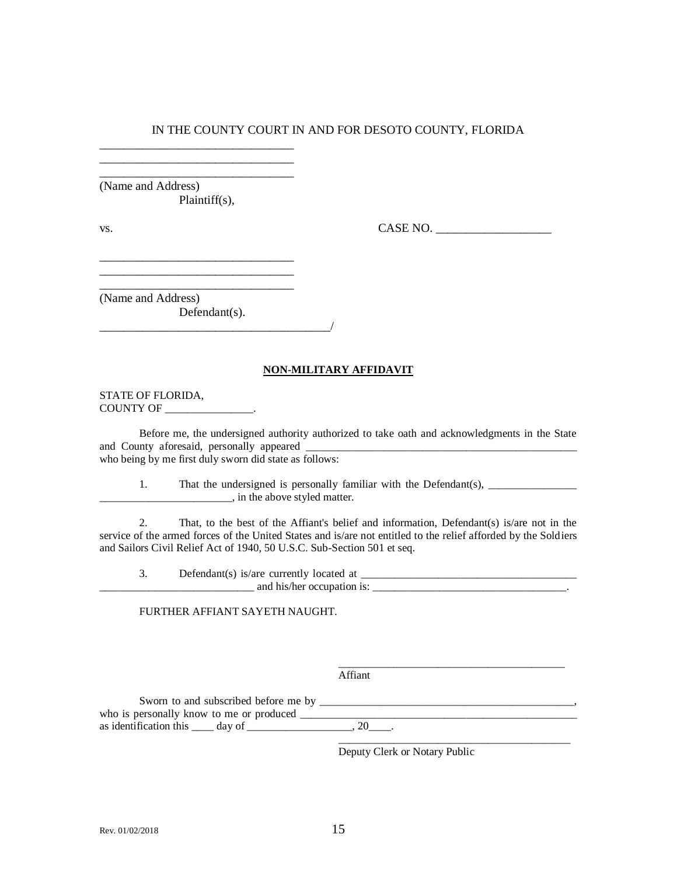\_\_\_\_\_\_\_\_\_\_\_\_\_\_\_\_\_\_\_\_\_\_\_\_\_\_\_\_\_\_\_\_ (Name and Address) Plaintiff(s),

\_\_\_\_\_\_\_\_\_\_\_\_\_\_\_\_\_\_\_\_\_\_\_\_\_\_\_\_\_\_\_\_ \_\_\_\_\_\_\_\_\_\_\_\_\_\_\_\_\_\_\_\_\_\_\_\_\_\_\_\_\_\_\_\_

\_\_\_\_\_\_\_\_\_\_\_\_\_\_\_\_\_\_\_\_\_\_\_\_\_\_\_\_\_\_\_\_ \_\_\_\_\_\_\_\_\_\_\_\_\_\_\_\_\_\_\_\_\_\_\_\_\_\_\_\_\_\_\_\_ \_\_\_\_\_\_\_\_\_\_\_\_\_\_\_\_\_\_\_\_\_\_\_\_\_\_\_\_\_\_\_\_

vs. CASE NO.

(Name and Address)

Defendant(s). \_\_\_\_\_\_\_\_\_\_\_\_\_\_\_\_\_\_\_\_\_\_\_\_\_\_\_\_\_\_\_\_\_\_\_\_\_\_/

#### **NON-MILITARY AFFIDAVIT**

STATE OF FLORIDA, COUNTY OF \_\_\_\_\_\_\_\_\_\_\_\_\_\_\_\_.

Before me, the undersigned authority authorized to take oath and acknowledgments in the State and County aforesaid, personally appeared who being by me first duly sworn did state as follows:

1. That the undersigned is personally familiar with the Defendant(s), \_\_\_\_\_\_\_\_\_\_\_ \_\_\_\_\_\_\_\_\_\_\_\_\_\_\_\_\_\_\_\_\_\_\_\_, in the above styled matter.

2. That, to the best of the Affiant's belief and information, Defendant(s) is/are not in the service of the armed forces of the United States and is/are not entitled to the relief afforded by the Soldiers and Sailors Civil Relief Act of 1940, 50 U.S.C. Sub-Section 501 et seq.

3. Defendant(s) is/are currently located at \_\_\_\_\_\_\_\_\_\_\_\_\_\_\_\_\_\_\_\_\_\_\_\_\_\_\_\_\_\_\_\_\_\_\_\_\_\_\_  $\Box$  and his/her occupation is:  $\Box$ 

#### FURTHER AFFIANT SAYETH NAUGHT.

Affiant

Sworn to and subscribed before me by \_\_\_\_\_\_\_\_\_\_\_\_\_\_\_\_\_\_\_\_\_\_\_\_\_\_\_\_\_\_\_\_\_\_\_\_\_\_\_\_\_\_\_\_\_\_, who is personally know to me or produced \_\_\_\_\_\_\_\_\_\_\_\_\_\_\_\_\_\_\_\_\_\_\_\_\_\_\_\_\_\_\_\_\_\_\_\_\_\_\_\_\_\_\_\_\_\_\_\_\_\_ as identification this  $\_\_\_$  day of  $\_\_\_\_\_\_\_\_\_$ , 20 $\_\_\_\_\.\_$ 

Deputy Clerk or Notary Public

\_\_\_\_\_\_\_\_\_\_\_\_\_\_\_\_\_\_\_\_\_\_\_\_\_\_\_\_\_\_\_\_\_\_\_\_\_\_\_\_\_

\_\_\_\_\_\_\_\_\_\_\_\_\_\_\_\_\_\_\_\_\_\_\_\_\_\_\_\_\_\_\_\_\_\_\_\_\_\_\_\_\_\_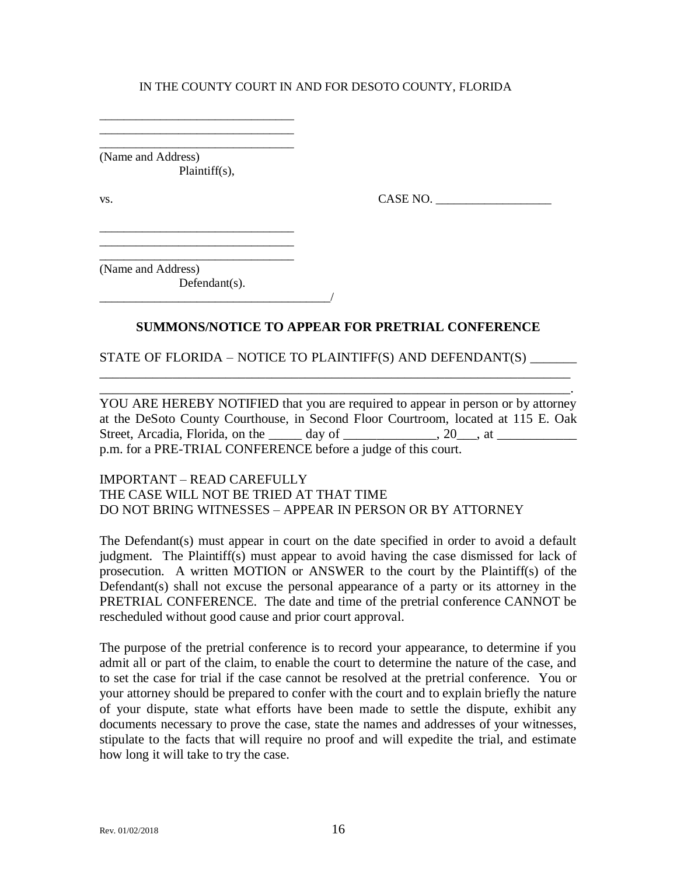\_\_\_\_\_\_\_\_\_\_\_\_\_\_\_\_\_\_\_\_\_\_\_\_\_\_\_\_\_\_\_\_ (Name and Address) Plaintiff(s),

\_\_\_\_\_\_\_\_\_\_\_\_\_\_\_\_\_\_\_\_\_\_\_\_\_\_\_\_\_\_\_\_ \_\_\_\_\_\_\_\_\_\_\_\_\_\_\_\_\_\_\_\_\_\_\_\_\_\_\_\_\_\_\_\_

vs.  $\Box$ 

(Name and Address)

Defendant(s). \_\_\_\_\_\_\_\_\_\_\_\_\_\_\_\_\_\_\_\_\_\_\_\_\_\_\_\_\_\_\_\_\_\_\_\_\_\_/

\_\_\_\_\_\_\_\_\_\_\_\_\_\_\_\_\_\_\_\_\_\_\_\_\_\_\_\_\_\_\_\_ \_\_\_\_\_\_\_\_\_\_\_\_\_\_\_\_\_\_\_\_\_\_\_\_\_\_\_\_\_\_\_\_ \_\_\_\_\_\_\_\_\_\_\_\_\_\_\_\_\_\_\_\_\_\_\_\_\_\_\_\_\_\_\_\_

# **SUMMONS/NOTICE TO APPEAR FOR PRETRIAL CONFERENCE**

## STATE OF FLORIDA – NOTICE TO PLAINTIFF(S) AND DEFENDANT(S) \_\_\_\_\_\_\_

\_\_\_\_\_\_\_\_\_\_\_\_\_\_\_\_\_\_\_\_\_\_\_\_\_\_\_\_\_\_\_\_\_\_\_\_\_\_\_\_\_\_\_\_\_\_\_\_\_\_\_\_\_\_\_\_\_\_\_\_\_\_\_\_\_\_\_\_\_\_\_ \_\_\_\_\_\_\_\_\_\_\_\_\_\_\_\_\_\_\_\_\_\_\_\_\_\_\_\_\_\_\_\_\_\_\_\_\_\_\_\_\_\_\_\_\_\_\_\_\_\_\_\_\_\_\_\_\_\_\_\_\_\_\_\_\_\_\_\_\_\_\_.

YOU ARE HEREBY NOTIFIED that you are required to appear in person or by attorney at the DeSoto County Courthouse, in Second Floor Courtroom, located at 115 E. Oak Street, Arcadia, Florida, on the  $\_\_\_\_$  day of  $\_\_\_\_\_\_$ , 20, at  $\_\_\_\_\_\_$ p.m. for a PRE-TRIAL CONFERENCE before a judge of this court.

## IMPORTANT – READ CAREFULLY THE CASE WILL NOT BE TRIED AT THAT TIME DO NOT BRING WITNESSES – APPEAR IN PERSON OR BY ATTORNEY

The Defendant(s) must appear in court on the date specified in order to avoid a default judgment. The Plaintiff(s) must appear to avoid having the case dismissed for lack of prosecution. A written MOTION or ANSWER to the court by the Plaintiff(s) of the Defendant(s) shall not excuse the personal appearance of a party or its attorney in the PRETRIAL CONFERENCE. The date and time of the pretrial conference CANNOT be rescheduled without good cause and prior court approval.

The purpose of the pretrial conference is to record your appearance, to determine if you admit all or part of the claim, to enable the court to determine the nature of the case, and to set the case for trial if the case cannot be resolved at the pretrial conference. You or your attorney should be prepared to confer with the court and to explain briefly the nature of your dispute, state what efforts have been made to settle the dispute, exhibit any documents necessary to prove the case, state the names and addresses of your witnesses. stipulate to the facts that will require no proof and will expedite the trial, and estimate how long it will take to try the case.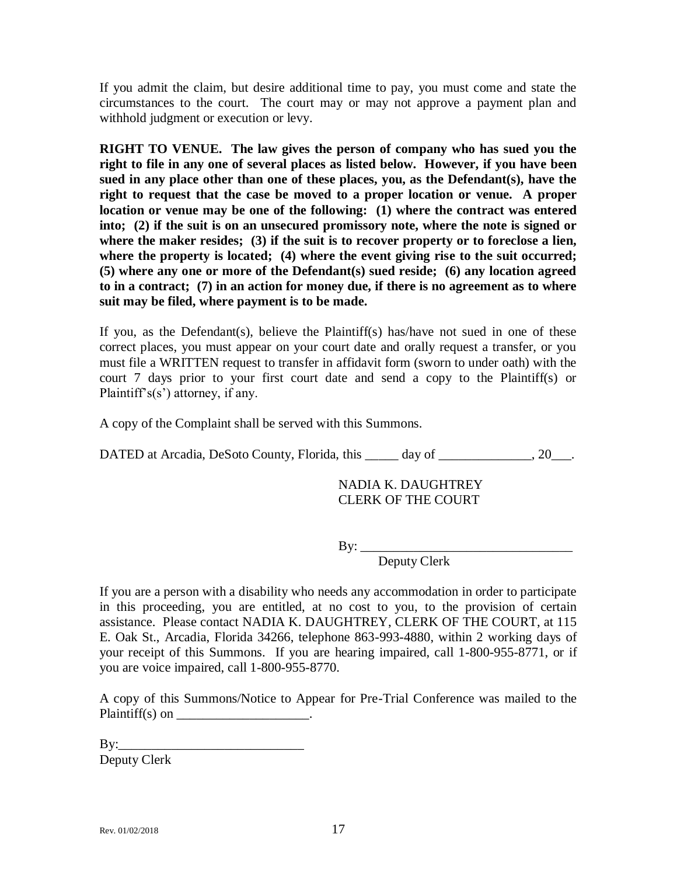If you admit the claim, but desire additional time to pay, you must come and state the circumstances to the court. The court may or may not approve a payment plan and withhold judgment or execution or levy.

**RIGHT TO VENUE. The law gives the person of company who has sued you the right to file in any one of several places as listed below. However, if you have been sued in any place other than one of these places, you, as the Defendant(s), have the right to request that the case be moved to a proper location or venue. A proper location or venue may be one of the following: (1) where the contract was entered into; (2) if the suit is on an unsecured promissory note, where the note is signed or where the maker resides; (3) if the suit is to recover property or to foreclose a lien, where the property is located; (4) where the event giving rise to the suit occurred; (5) where any one or more of the Defendant(s) sued reside; (6) any location agreed to in a contract; (7) in an action for money due, if there is no agreement as to where suit may be filed, where payment is to be made.**

If you, as the Defendant(s), believe the Plaintiff(s) has/have not sued in one of these correct places, you must appear on your court date and orally request a transfer, or you must file a WRITTEN request to transfer in affidavit form (sworn to under oath) with the court 7 days prior to your first court date and send a copy to the Plaintiff(s) or Plaintiff's(s') attorney, if any.

A copy of the Complaint shall be served with this Summons.

DATED at Arcadia, DeSoto County, Florida, this \_\_\_\_\_ day of \_\_\_\_\_\_\_\_\_\_\_\_, 20\_\_\_.

## NADIA K. DAUGHTREY CLERK OF THE COURT

By: \_\_\_\_\_\_\_\_\_\_\_\_\_\_\_\_\_\_\_\_\_\_\_\_\_\_\_\_\_\_\_\_

Deputy Clerk

If you are a person with a disability who needs any accommodation in order to participate in this proceeding, you are entitled, at no cost to you, to the provision of certain assistance. Please contact NADIA K. DAUGHTREY, CLERK OF THE COURT, at 115 E. Oak St., Arcadia, Florida 34266, telephone 863-993-4880, within 2 working days of your receipt of this Summons. If you are hearing impaired, call 1-800-955-8771, or if you are voice impaired, call 1-800-955-8770.

A copy of this Summons/Notice to Appear for Pre-Trial Conference was mailed to the Plaintiff(s) on  $\_\_\_\_\_\_\_\_\_\_\_\_\_\_\_\_\_\_\_\_\_$ 

 $\mathbf{B} \mathbf{v}$ : Deputy Clerk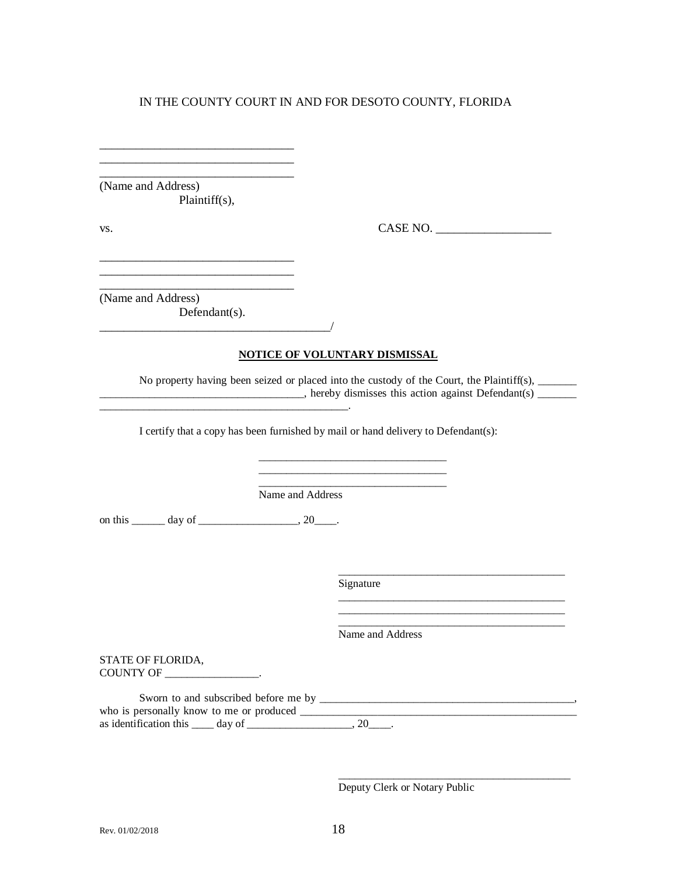\_\_\_\_\_\_\_\_\_\_\_\_\_\_\_\_\_\_\_\_\_\_\_\_\_\_\_\_\_\_\_\_ (Name and Address) Plaintiff(s),

\_\_\_\_\_\_\_\_\_\_\_\_\_\_\_\_\_\_\_\_\_\_\_\_\_\_\_\_\_\_\_\_ \_\_\_\_\_\_\_\_\_\_\_\_\_\_\_\_\_\_\_\_\_\_\_\_\_\_\_\_\_\_\_\_

\_\_\_\_\_\_\_\_\_\_\_\_\_\_\_\_\_\_\_\_\_\_\_\_\_\_\_\_\_\_\_\_

\_\_\_\_\_\_\_\_\_\_\_\_\_\_\_\_\_\_\_\_\_\_\_\_\_\_\_\_\_\_\_\_

vs. CASE NO. \_\_\_\_\_\_\_\_\_\_\_\_\_\_\_\_\_\_\_

\_\_\_\_\_\_\_\_\_\_\_\_\_\_\_\_\_\_\_\_\_\_\_\_\_\_\_\_\_\_\_\_\_\_\_\_\_\_\_\_\_

\_\_\_\_\_\_\_\_\_\_\_\_\_\_\_\_\_\_\_\_\_\_\_\_\_\_\_\_\_\_\_\_\_\_\_\_\_\_\_\_\_ \_\_\_\_\_\_\_\_\_\_\_\_\_\_\_\_\_\_\_\_\_\_\_\_\_\_\_\_\_\_\_\_\_\_\_\_\_\_\_\_\_ \_\_\_\_\_\_\_\_\_\_\_\_\_\_\_\_\_\_\_\_\_\_\_\_\_\_\_\_\_\_\_\_\_\_\_\_\_\_\_\_\_

\_\_\_\_\_\_\_\_\_\_\_\_\_\_\_\_\_\_\_\_\_\_\_\_\_\_\_\_\_\_\_\_\_\_\_\_\_\_\_\_\_\_

(Name and Address)

Defendant(s). \_\_\_\_\_\_\_\_\_\_\_\_\_\_\_\_\_\_\_\_\_\_\_\_\_\_\_\_\_\_\_\_\_\_\_\_\_\_/

#### **NOTICE OF VOLUNTARY DISMISSAL**

No property having been seized or placed into the custody of the Court, the Plaintiff(s), \_\_\_\_\_\_\_  $\Box$ , hereby dismisses this action against Defendant(s)  $\Box$ 

> \_\_\_\_\_\_\_\_\_\_\_\_\_\_\_\_\_\_\_\_\_\_\_\_\_\_\_\_\_\_\_\_\_\_ \_\_\_\_\_\_\_\_\_\_\_\_\_\_\_\_\_\_\_\_\_\_\_\_\_\_\_\_\_\_\_\_\_\_ \_\_\_\_\_\_\_\_\_\_\_\_\_\_\_\_\_\_\_\_\_\_\_\_\_\_\_\_\_\_\_\_\_\_

I certify that a copy has been furnished by mail or hand delivery to Defendant(s):

Name and Address

on this \_\_\_\_\_\_\_ day of \_\_\_\_\_\_\_\_\_\_\_\_\_\_\_\_\_\_\_, 20\_\_\_\_.

\_\_\_\_\_\_\_\_\_\_\_\_\_\_\_\_\_\_\_\_\_\_\_\_\_\_\_\_\_\_\_\_\_\_\_\_\_\_\_\_\_\_\_\_\_.

Signature

Name and Address

STATE OF FLORIDA, COUNTY OF \_\_\_\_\_\_\_\_\_\_\_\_\_\_\_\_\_.

Sworn to and subscribed before me by \_\_\_\_\_\_\_\_\_\_\_\_\_\_\_\_\_\_\_\_\_\_\_\_\_\_\_\_\_\_\_\_\_\_\_\_\_\_\_\_\_\_\_\_\_\_, who is personally know to me or produced \_\_\_\_\_\_\_\_\_\_\_\_\_\_\_\_\_\_\_\_\_\_\_\_\_\_\_\_\_\_\_\_\_\_\_\_\_\_\_\_\_\_\_\_\_\_\_\_\_\_ as identification this  $\_\_\_$  day of  $\_\_\_\_\_\_\_$ , 20 $\_\_\_\_\$ .

Deputy Clerk or Notary Public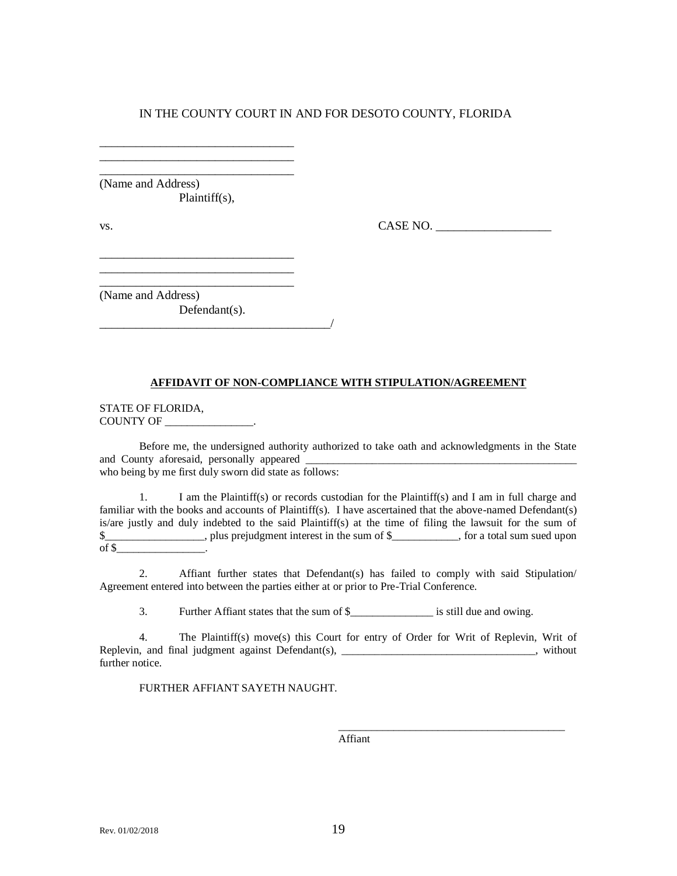\_\_\_\_\_\_\_\_\_\_\_\_\_\_\_\_\_\_\_\_\_\_\_\_\_\_\_\_\_\_\_\_ (Name and Address) Plaintiff(s),

\_\_\_\_\_\_\_\_\_\_\_\_\_\_\_\_\_\_\_\_\_\_\_\_\_\_\_\_\_\_\_\_

\_\_\_\_\_\_\_\_\_\_\_\_\_\_\_\_\_\_\_\_\_\_\_\_\_\_\_\_\_\_\_\_

 $\text{v}_\text{s}$ .  $\text{CASE NO.}$ 

\_\_\_\_\_\_\_\_\_\_\_\_\_\_\_\_\_\_\_\_\_\_\_\_\_\_\_\_\_\_\_\_ (Name and Address)

Defendant(s). \_\_\_\_\_\_\_\_\_\_\_\_\_\_\_\_\_\_\_\_\_\_\_\_\_\_\_\_\_\_\_\_\_\_\_\_\_\_/

#### **AFFIDAVIT OF NON-COMPLIANCE WITH STIPULATION/AGREEMENT**

STATE OF FLORIDA, COUNTY OF \_\_\_\_\_\_\_\_\_\_\_\_\_\_\_\_.

Before me, the undersigned authority authorized to take oath and acknowledgments in the State and County aforesaid, personally appeared who being by me first duly sworn did state as follows:

1. I am the Plaintiff(s) or records custodian for the Plaintiff(s) and I am in full charge and familiar with the books and accounts of Plaintiff(s). I have ascertained that the above-named Defendant(s) is/are justly and duly indebted to the said Plaintiff(s) at the time of filing the lawsuit for the sum of \$\_\_\_\_\_\_\_\_\_\_\_\_\_\_\_\_\_\_, plus prejudgment interest in the sum of \$\_\_\_\_\_\_\_\_\_\_\_\_, for a total sum sued upon of  $\frac{1}{2}$ 

2. Affiant further states that Defendant(s) has failed to comply with said Stipulation/ Agreement entered into between the parties either at or prior to Pre-Trial Conference.

3. Further Affiant states that the sum of \$\_\_\_\_\_\_\_\_\_\_\_\_\_\_\_ is still due and owing.

4. The Plaintiff(s) move(s) this Court for entry of Order for Writ of Replevin, Writ of Replevin, and final judgment against Defendant(s), \_\_\_\_\_\_\_\_\_\_\_\_\_\_\_\_\_\_\_\_\_\_\_\_\_\_\_\_\_, without further notice.

FURTHER AFFIANT SAYETH NAUGHT.

Affiant

\_\_\_\_\_\_\_\_\_\_\_\_\_\_\_\_\_\_\_\_\_\_\_\_\_\_\_\_\_\_\_\_\_\_\_\_\_\_\_\_\_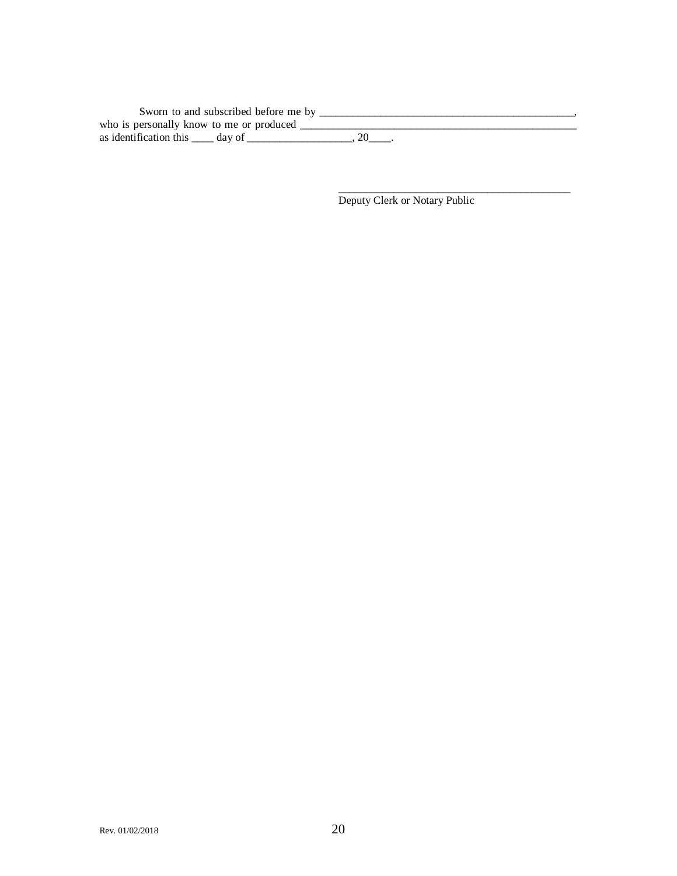| Sworn to and subscribed before me by     |  |
|------------------------------------------|--|
| who is personally know to me or produced |  |
| as identification this day of            |  |

Deputy Clerk or Notary Public

\_\_\_\_\_\_\_\_\_\_\_\_\_\_\_\_\_\_\_\_\_\_\_\_\_\_\_\_\_\_\_\_\_\_\_\_\_\_\_\_\_\_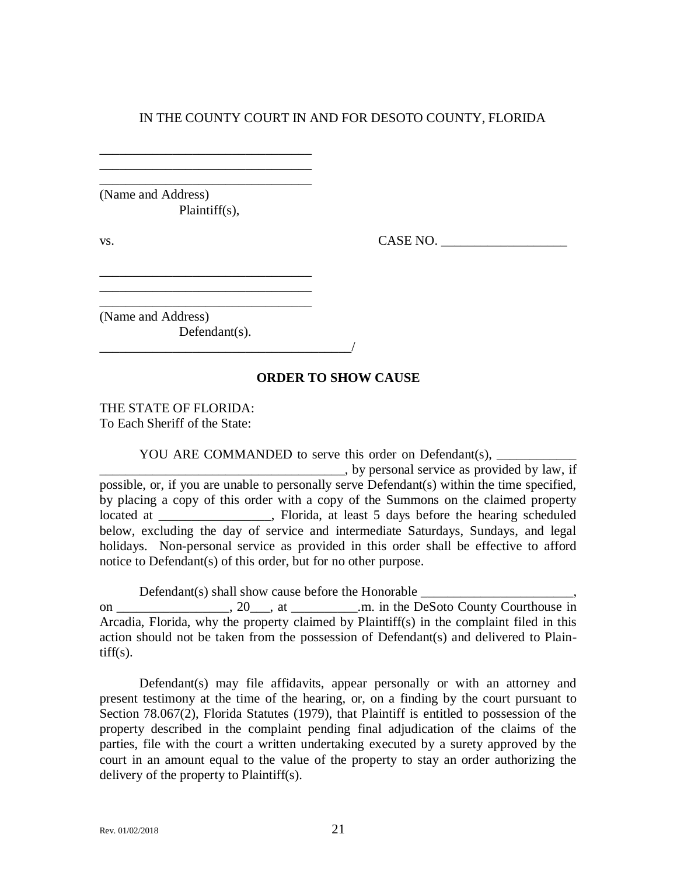\_\_\_\_\_\_\_\_\_\_\_\_\_\_\_\_\_\_\_\_\_\_\_\_\_\_\_\_\_\_\_\_ (Name and Address) Plaintiff(s),

\_\_\_\_\_\_\_\_\_\_\_\_\_\_\_\_\_\_\_\_\_\_\_\_\_\_\_\_\_\_\_\_ \_\_\_\_\_\_\_\_\_\_\_\_\_\_\_\_\_\_\_\_\_\_\_\_\_\_\_\_\_\_\_\_

\_\_\_\_\_\_\_\_\_\_\_\_\_\_\_\_\_\_\_\_\_\_\_\_\_\_\_\_\_\_\_\_ \_\_\_\_\_\_\_\_\_\_\_\_\_\_\_\_\_\_\_\_\_\_\_\_\_\_\_\_\_\_\_\_

\_\_\_\_\_\_\_\_\_\_\_\_\_\_\_\_\_\_\_\_\_\_\_\_\_\_\_\_\_\_\_\_\_\_\_\_\_\_/

 $\text{CASE NO.}$ 

\_\_\_\_\_\_\_\_\_\_\_\_\_\_\_\_\_\_\_\_\_\_\_\_\_\_\_\_\_\_\_\_ (Name and Address) Defendant(s).

### **ORDER TO SHOW CAUSE**

THE STATE OF FLORIDA: To Each Sheriff of the State:

YOU ARE COMMANDED to serve this order on Defendant(s),

\_\_\_\_\_\_\_\_\_\_\_\_\_\_\_\_\_\_\_\_\_\_\_\_\_\_\_\_\_\_\_\_\_\_\_\_\_, by personal service as provided by law, if possible, or, if you are unable to personally serve Defendant(s) within the time specified, by placing a copy of this order with a copy of the Summons on the claimed property located at \_\_\_\_\_\_\_\_\_\_\_\_\_\_, Florida, at least 5 days before the hearing scheduled below, excluding the day of service and intermediate Saturdays, Sundays, and legal holidays. Non-personal service as provided in this order shall be effective to afford notice to Defendant(s) of this order, but for no other purpose.

Defendant(s) shall show cause before the Honorable on \_\_\_\_\_\_\_\_\_\_\_\_\_\_\_, 20\_\_\_, at \_\_\_\_\_\_\_\_\_\_.m. in the DeSoto County Courthouse in Arcadia, Florida, why the property claimed by Plaintiff(s) in the complaint filed in this action should not be taken from the possession of Defendant(s) and delivered to Plain- $\text{tff}(s)$ .

Defendant(s) may file affidavits, appear personally or with an attorney and present testimony at the time of the hearing, or, on a finding by the court pursuant to Section 78.067(2), Florida Statutes (1979), that Plaintiff is entitled to possession of the property described in the complaint pending final adjudication of the claims of the parties, file with the court a written undertaking executed by a surety approved by the court in an amount equal to the value of the property to stay an order authorizing the delivery of the property to Plaintiff(s).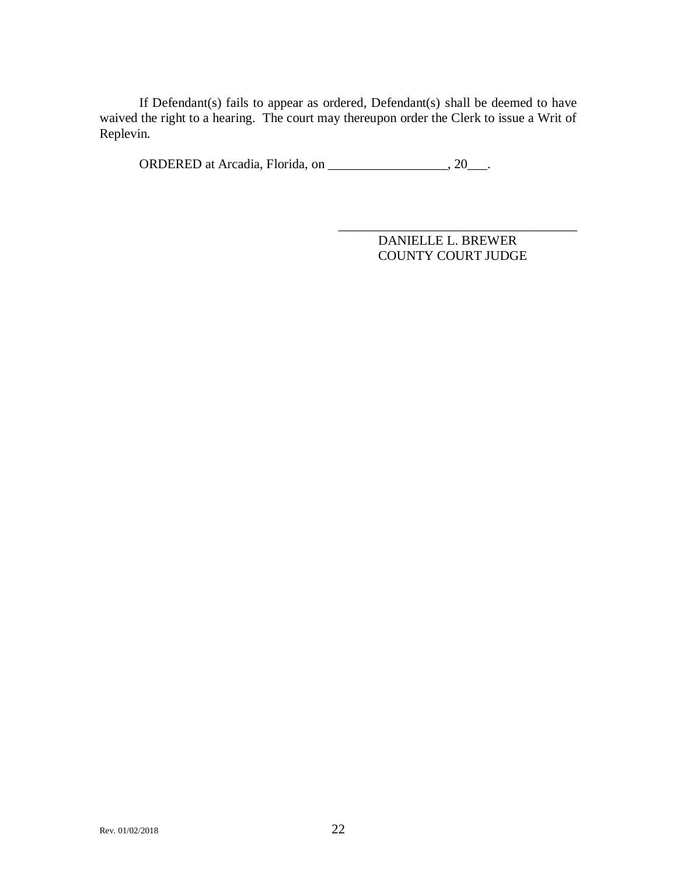If Defendant(s) fails to appear as ordered, Defendant(s) shall be deemed to have waived the right to a hearing. The court may thereupon order the Clerk to issue a Writ of Replevin.

ORDERED at Arcadia, Florida, on \_\_\_\_\_\_\_\_\_\_\_\_\_\_\_\_\_, 20\_\_\_.

\_\_\_\_\_\_\_\_\_\_\_\_\_\_\_\_\_\_\_\_\_\_\_\_\_\_\_\_\_\_\_\_\_\_\_\_ DANIELLE L. BREWER COUNTY COURT JUDGE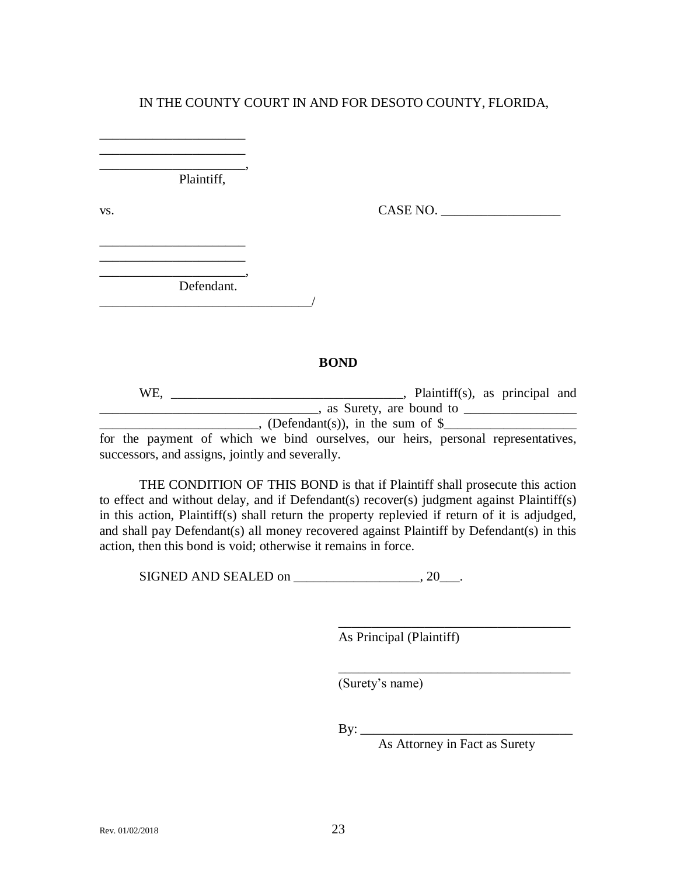\_\_\_\_\_\_\_\_\_\_\_\_\_\_\_\_\_\_\_\_\_\_, Plaintiff,

\_\_\_\_\_\_\_\_\_\_\_\_\_\_\_\_\_\_\_\_\_\_ \_\_\_\_\_\_\_\_\_\_\_\_\_\_\_\_\_\_\_\_\_\_

\_\_\_\_\_\_\_\_\_\_\_\_\_\_\_\_\_\_\_\_\_\_ \_\_\_\_\_\_\_\_\_\_\_\_\_\_\_\_\_\_\_\_\_\_

vs. CASE NO. \_\_\_\_\_\_\_\_\_\_\_\_\_\_\_\_\_\_

\_\_\_\_\_\_\_\_\_\_\_\_\_\_\_\_\_\_\_\_\_\_, Defendant. \_\_\_\_\_\_\_\_\_\_\_\_\_\_\_\_\_\_\_\_\_\_\_\_\_\_\_\_\_\_\_\_/

#### **BOND**

WE, \_\_\_\_\_\_\_\_\_\_\_\_\_\_\_\_\_\_\_\_\_\_\_\_\_\_\_\_\_\_\_\_\_\_\_, Plaintiff(s), as principal and \_\_\_\_\_\_\_\_\_\_\_\_\_\_\_\_\_\_\_\_\_\_\_\_\_\_\_\_\_\_\_\_\_, as Surety, are bound to \_\_\_\_\_\_\_\_\_\_\_\_\_\_\_\_\_ \_\_\_\_\_\_\_\_\_\_\_\_\_\_\_\_\_\_\_\_\_\_\_\_, (Defendant(s)), in the sum of \$\_\_\_\_\_\_\_\_\_\_\_\_\_\_\_\_\_\_\_\_

for the payment of which we bind ourselves, our heirs, personal representatives, successors, and assigns, jointly and severally.

THE CONDITION OF THIS BOND is that if Plaintiff shall prosecute this action to effect and without delay, and if Defendant(s) recover(s) judgment against Plaintiff(s) in this action, Plaintiff(s) shall return the property replevied if return of it is adjudged, and shall pay Defendant(s) all money recovered against Plaintiff by Defendant(s) in this action, then this bond is void; otherwise it remains in force.

SIGNED AND SEALED on  $\_\_\_\_\_\_\_\_\_\_\_\_$ 

As Principal (Plaintiff)

(Surety's name)

By: \_\_\_\_\_\_\_\_\_\_\_\_\_\_\_\_\_\_\_\_\_\_\_\_\_\_\_\_\_\_\_\_

As Attorney in Fact as Surety

\_\_\_\_\_\_\_\_\_\_\_\_\_\_\_\_\_\_\_\_\_\_\_\_\_\_\_\_\_\_\_\_\_\_\_

\_\_\_\_\_\_\_\_\_\_\_\_\_\_\_\_\_\_\_\_\_\_\_\_\_\_\_\_\_\_\_\_\_\_\_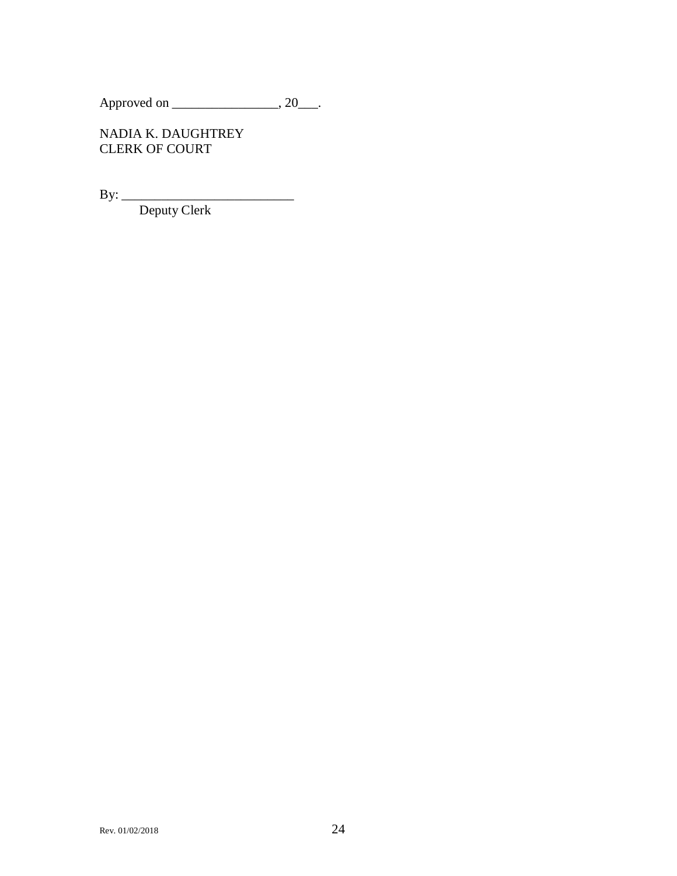Approved on \_\_\_\_\_\_\_\_\_\_\_\_\_\_\_\_\_, 20\_\_\_.

NADIA K. DAUGHTREY CLERK OF COURT

By: \_\_\_\_\_\_\_\_\_\_\_\_\_\_\_\_\_\_\_\_\_\_\_\_\_\_

Deputy Clerk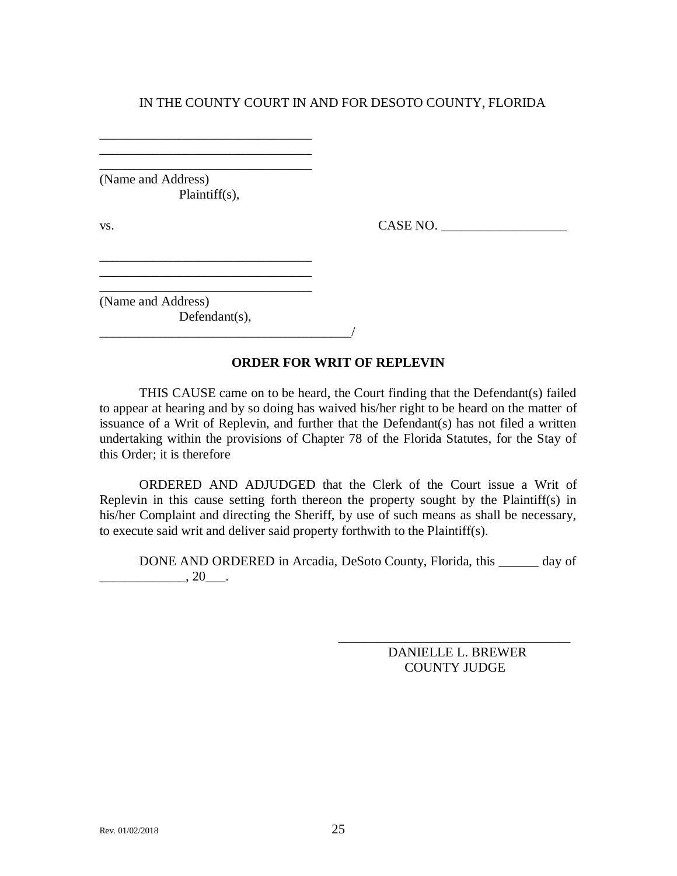(Name and Address) Plaintiff(s),

\_\_\_\_\_\_\_\_\_\_\_\_\_\_\_\_\_\_\_\_\_\_\_\_\_\_\_\_\_\_\_\_ \_\_\_\_\_\_\_\_\_\_\_\_\_\_\_\_\_\_\_\_\_\_\_\_\_\_\_\_\_\_\_\_ \_\_\_\_\_\_\_\_\_\_\_\_\_\_\_\_\_\_\_\_\_\_\_\_\_\_\_\_\_\_\_\_

\_\_\_\_\_\_\_\_\_\_\_\_\_\_\_\_\_\_\_\_\_\_\_\_\_\_\_\_\_\_\_\_ \_\_\_\_\_\_\_\_\_\_\_\_\_\_\_\_\_\_\_\_\_\_\_\_\_\_\_\_\_\_\_\_ \_\_\_\_\_\_\_\_\_\_\_\_\_\_\_\_\_\_\_\_\_\_\_\_\_\_\_\_\_\_\_\_

vs. CASE NO.

(Name and Address) Defendant(s),

 $\mathcal{L}=\mathcal{L}^{\text{max}}$ 

#### **ORDER FOR WRIT OF REPLEVIN**

THIS CAUSE came on to be heard, the Court finding that the Defendant(s) failed to appear at hearing and by so doing has waived his/her right to be heard on the matter of issuance of a Writ of Replevin, and further that the Defendant(s) has not filed a written undertaking within the provisions of Chapter 78 of the Florida Statutes, for the Stay of this Order; it is therefore

ORDERED AND ADJUDGED that the Clerk of the Court issue a Writ of Replevin in this cause setting forth thereon the property sought by the Plaintiff(s) in his/her Complaint and directing the Sheriff, by use of such means as shall be necessary, to execute said writ and deliver said property forthwith to the Plaintiff(s).

DONE AND ORDERED in Arcadia, DeSoto County, Florida, this \_\_\_\_\_\_ day of  $\frac{1}{20}$ , 20 $\frac{1}{20}$ .

> DANIELLE L. BREWER COUNTY JUDGE

\_\_\_\_\_\_\_\_\_\_\_\_\_\_\_\_\_\_\_\_\_\_\_\_\_\_\_\_\_\_\_\_\_\_\_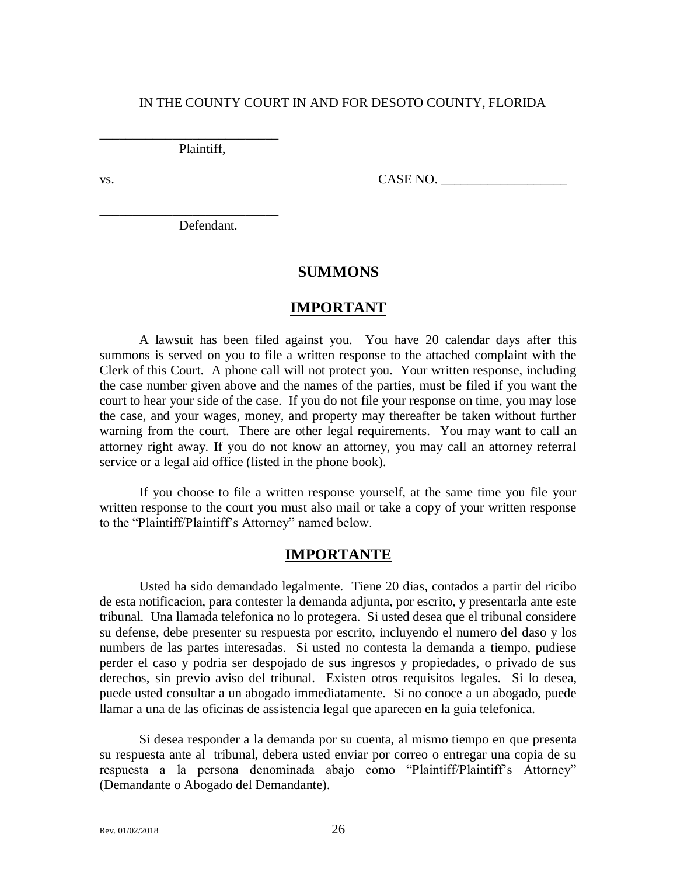Plaintiff,

\_\_\_\_\_\_\_\_\_\_\_\_\_\_\_\_\_\_\_\_\_\_\_\_\_\_\_

\_\_\_\_\_\_\_\_\_\_\_\_\_\_\_\_\_\_\_\_\_\_\_\_\_\_\_

 $\text{v}_\text{s}$ .  $\text{CASE NO.}$ 

Defendant.

## **SUMMONS**

## **IMPORTANT**

A lawsuit has been filed against you. You have 20 calendar days after this summons is served on you to file a written response to the attached complaint with the Clerk of this Court. A phone call will not protect you. Your written response, including the case number given above and the names of the parties, must be filed if you want the court to hear your side of the case. If you do not file your response on time, you may lose the case, and your wages, money, and property may thereafter be taken without further warning from the court. There are other legal requirements. You may want to call an attorney right away. If you do not know an attorney, you may call an attorney referral service or a legal aid office (listed in the phone book).

If you choose to file a written response yourself, at the same time you file your written response to the court you must also mail or take a copy of your written response to the "Plaintiff/Plaintiff's Attorney" named below.

### **IMPORTANTE**

Usted ha sido demandado legalmente. Tiene 20 dias, contados a partir del ricibo de esta notificacion, para contester la demanda adjunta, por escrito, y presentarla ante este tribunal. Una llamada telefonica no lo protegera. Si usted desea que el tribunal considere su defense, debe presenter su respuesta por escrito, incluyendo el numero del daso y los numbers de las partes interesadas. Si usted no contesta la demanda a tiempo, pudiese perder el caso y podria ser despojado de sus ingresos y propiedades, o privado de sus derechos, sin previo aviso del tribunal. Existen otros requisitos legales. Si lo desea, puede usted consultar a un abogado immediatamente. Si no conoce a un abogado, puede llamar a una de las oficinas de assistencia legal que aparecen en la guia telefonica.

Si desea responder a la demanda por su cuenta, al mismo tiempo en que presenta su respuesta ante al tribunal, debera usted enviar por correo o entregar una copia de su respuesta a la persona denominada abajo como "Plaintiff/Plaintiff's Attorney" (Demandante o Abogado del Demandante).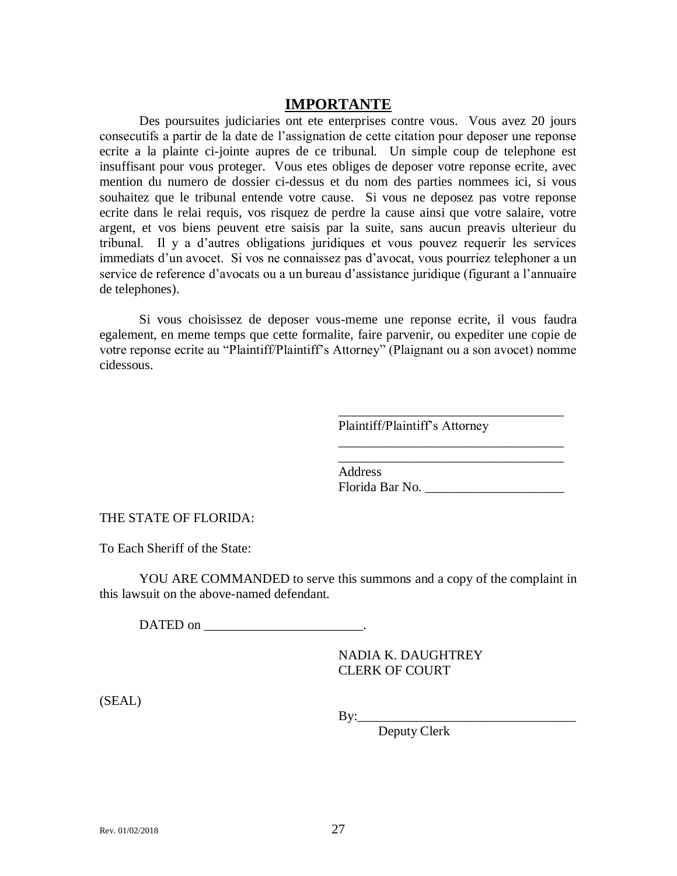## **IMPORTANTE**

Des poursuites judiciaries ont ete enterprises contre vous. Vous avez 20 jours consecutifs a partir de la date de l'assignation de cette citation pour deposer une reponse ecrite a la plainte ci-jointe aupres de ce tribunal. Un simple coup de telephone est insuffisant pour vous proteger. Vous etes obliges de deposer votre reponse ecrite, avec mention du numero de dossier ci-dessus et du nom des parties nommees ici, si vous souhaitez que le tribunal entende votre cause. Si vous ne deposez pas votre reponse ecrite dans le relai requis, vos risquez de perdre la cause ainsi que votre salaire, votre argent, et vos biens peuvent etre saisis par la suite, sans aucun preavis ulterieur du tribunal. Il y a d'autres obligations juridiques et vous pouvez requerir les services immediats d'un avocet. Si vos ne connaissez pas d'avocat, vous pourriez telephoner a un service de reference d'avocats ou a un bureau d'assistance juridique (figurant a l'annuaire de telephones).

Si vous choisissez de deposer vous-meme une reponse ecrite, il vous faudra egalement, en meme temps que cette formalite, faire parvenir, ou expediter une copie de votre reponse ecrite au "Plaintiff/Plaintiff's Attorney" (Plaignant ou a son avocet) nomme cidessous.

Plaintiff/Plaintiff's Attorney

\_\_\_\_\_\_\_\_\_\_\_\_\_\_\_\_\_\_\_\_\_\_\_\_\_\_\_\_\_\_\_\_\_\_

\_\_\_\_\_\_\_\_\_\_\_\_\_\_\_\_\_\_\_\_\_\_\_\_\_\_\_\_\_\_\_\_\_\_

\_\_\_\_\_\_\_\_\_\_\_\_\_\_\_\_\_\_\_\_\_\_\_\_\_\_\_\_\_\_\_\_\_\_ Address Florida Bar No. \_\_\_\_\_\_\_\_\_\_\_\_\_\_\_\_\_\_\_\_\_

THE STATE OF FLORIDA:

To Each Sheriff of the State:

YOU ARE COMMANDED to serve this summons and a copy of the complaint in this lawsuit on the above-named defendant.

DATED on \_\_\_\_\_\_\_\_\_\_\_\_\_\_\_\_\_\_\_\_\_\_\_\_\_\_\_\_\_\_\_\_.

NADIA K. DAUGHTREY CLERK OF COURT

(SEAL)

 $By:$ 

Deputy Clerk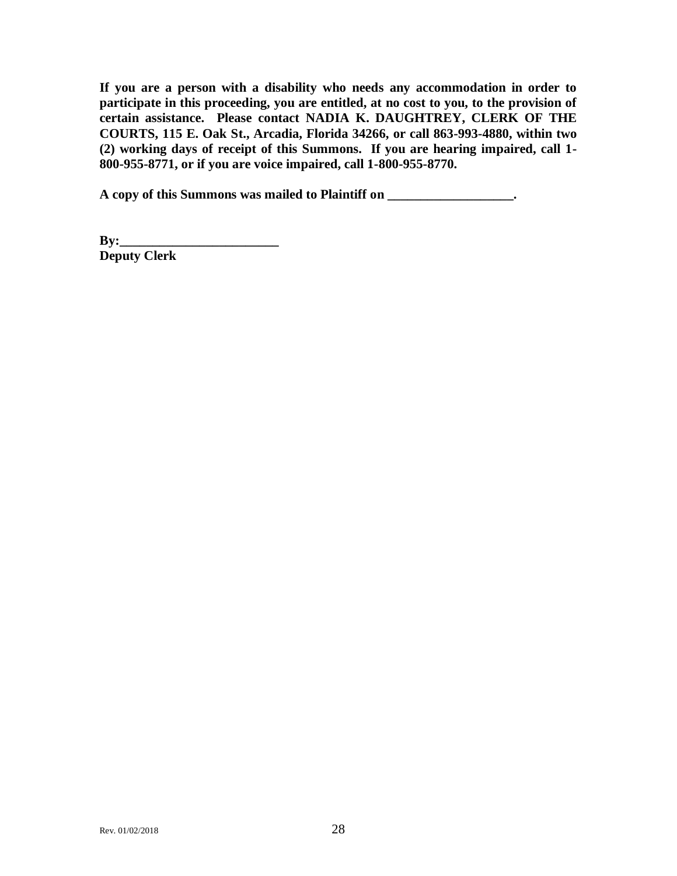**If you are a person with a disability who needs any accommodation in order to participate in this proceeding, you are entitled, at no cost to you, to the provision of certain assistance. Please contact NADIA K. DAUGHTREY, CLERK OF THE COURTS, 115 E. Oak St., Arcadia, Florida 34266, or call 863-993-4880, within two (2) working days of receipt of this Summons. If you are hearing impaired, call 1- 800-955-8771, or if you are voice impaired, call 1-800-955-8770.**

**A copy of this Summons was mailed to Plaintiff on \_\_\_\_\_\_\_\_\_\_\_\_\_\_\_\_\_\_\_.**

**By:\_\_\_\_\_\_\_\_\_\_\_\_\_\_\_\_\_\_\_\_\_\_\_\_\_\_\_\_\_\_\_ Deputy Clerk**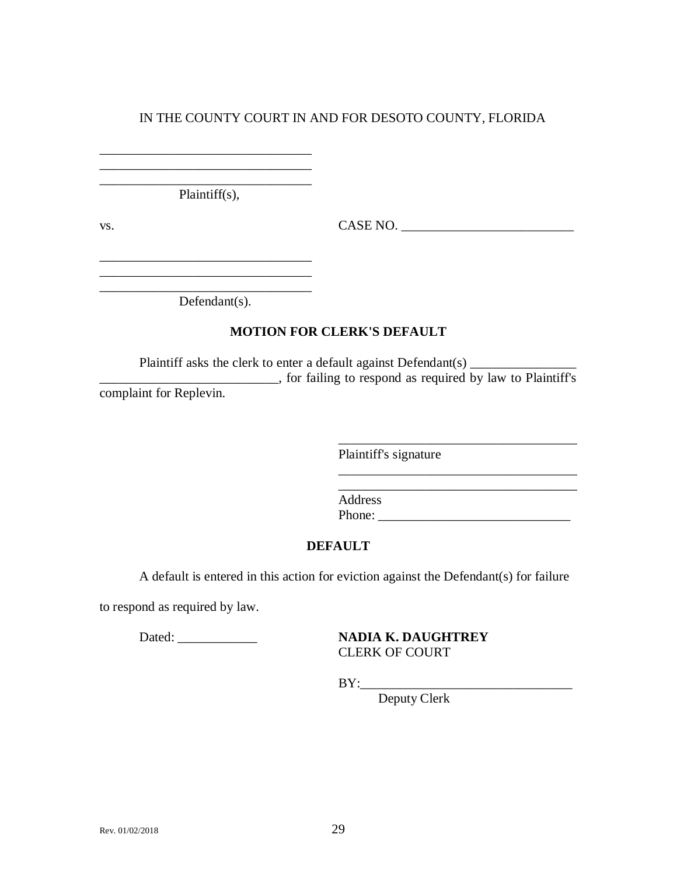\_\_\_\_\_\_\_\_\_\_\_\_\_\_\_\_\_\_\_\_\_\_\_\_\_\_\_\_\_\_\_\_ Plaintiff(s),

\_\_\_\_\_\_\_\_\_\_\_\_\_\_\_\_\_\_\_\_\_\_\_\_\_\_\_\_\_\_\_\_  $\overline{\phantom{a}}$  , which is a set of the set of the set of the set of the set of the set of the set of the set of the set of the set of the set of the set of the set of the set of the set of the set of the set of the set of th \_\_\_\_\_\_\_\_\_\_\_\_\_\_\_\_\_\_\_\_\_\_\_\_\_\_\_\_\_\_\_\_

\_\_\_\_\_\_\_\_\_\_\_\_\_\_\_\_\_\_\_\_\_\_\_\_\_\_\_\_\_\_\_\_ \_\_\_\_\_\_\_\_\_\_\_\_\_\_\_\_\_\_\_\_\_\_\_\_\_\_\_\_\_\_\_\_

vs. CASE NO. \_\_\_\_\_\_\_\_\_\_\_\_\_\_\_\_\_\_\_\_\_\_\_\_\_\_

\_\_\_\_\_\_\_\_\_\_\_\_\_\_\_\_\_\_\_\_\_\_\_\_\_\_\_\_\_\_\_\_\_\_\_\_

\_\_\_\_\_\_\_\_\_\_\_\_\_\_\_\_\_\_\_\_\_\_\_\_\_\_\_\_\_\_\_\_\_\_\_\_

Defendant(s).

## **MOTION FOR CLERK'S DEFAULT**

Plaintiff asks the clerk to enter a default against Defendant(s) \_\_\_\_\_\_\_\_\_\_\_\_\_\_\_\_\_\_\_\_\_\_\_\_\_\_\_, for failing to respond as required by law to Plaintiff's complaint for Replevin.

Plaintiff's signature

Address Phone: \_\_\_\_\_\_\_\_\_\_\_\_\_\_\_\_\_\_\_\_\_\_\_\_\_\_\_\_\_

## **DEFAULT**

A default is entered in this action for eviction against the Defendant(s) for failure

to respond as required by law.

Dated: \_\_\_\_\_\_\_\_\_\_\_\_ **NADIA K. DAUGHTREY** CLERK OF COURT

BY:\_\_\_\_\_\_\_\_\_\_\_\_\_\_\_\_\_\_\_\_\_\_\_\_\_\_\_\_\_\_\_\_

Deputy Clerk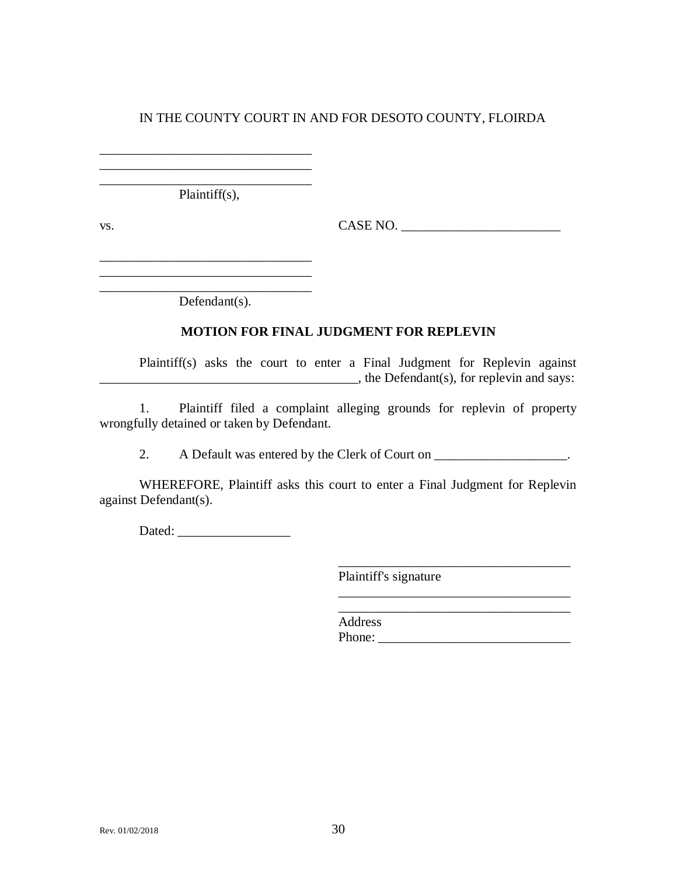\_\_\_\_\_\_\_\_\_\_\_\_\_\_\_\_\_\_\_\_\_\_\_\_\_\_\_\_\_\_\_\_ Plaintiff(s),

\_\_\_\_\_\_\_\_\_\_\_\_\_\_\_\_\_\_\_\_\_\_\_\_\_\_\_\_\_\_\_\_ \_\_\_\_\_\_\_\_\_\_\_\_\_\_\_\_\_\_\_\_\_\_\_\_\_\_\_\_\_\_\_\_

\_\_\_\_\_\_\_\_\_\_\_\_\_\_\_\_\_\_\_\_\_\_\_\_\_\_\_\_\_\_\_\_ \_\_\_\_\_\_\_\_\_\_\_\_\_\_\_\_\_\_\_\_\_\_\_\_\_\_\_\_\_\_\_\_

vs. CASE NO. \_\_\_\_\_\_\_\_\_\_\_\_\_\_\_\_\_\_\_\_\_\_\_\_

\_\_\_\_\_\_\_\_\_\_\_\_\_\_\_\_\_\_\_\_\_\_\_\_\_\_\_\_\_\_\_\_ Defendant(s).

## **MOTION FOR FINAL JUDGMENT FOR REPLEVIN**

Plaintiff(s) asks the court to enter a Final Judgment for Replevin against  $\Box$ , the Defendant(s), for replevin and says:

1. Plaintiff filed a complaint alleging grounds for replevin of property wrongfully detained or taken by Defendant.

2. A Default was entered by the Clerk of Court on \_\_\_\_\_\_\_\_\_\_\_\_\_\_\_\_\_\_\_\_.

WHEREFORE, Plaintiff asks this court to enter a Final Judgment for Replevin against Defendant(s).

Dated: \_\_\_\_\_\_\_\_\_\_\_\_\_\_\_\_\_

Plaintiff's signature

\_\_\_\_\_\_\_\_\_\_\_\_\_\_\_\_\_\_\_\_\_\_\_\_\_\_\_\_\_\_\_\_\_\_\_

\_\_\_\_\_\_\_\_\_\_\_\_\_\_\_\_\_\_\_\_\_\_\_\_\_\_\_\_\_\_\_\_\_\_\_

\_\_\_\_\_\_\_\_\_\_\_\_\_\_\_\_\_\_\_\_\_\_\_\_\_\_\_\_\_\_\_\_\_\_\_ Address Phone: \_\_\_\_\_\_\_\_\_\_\_\_\_\_\_\_\_\_\_\_\_\_\_\_\_\_\_\_\_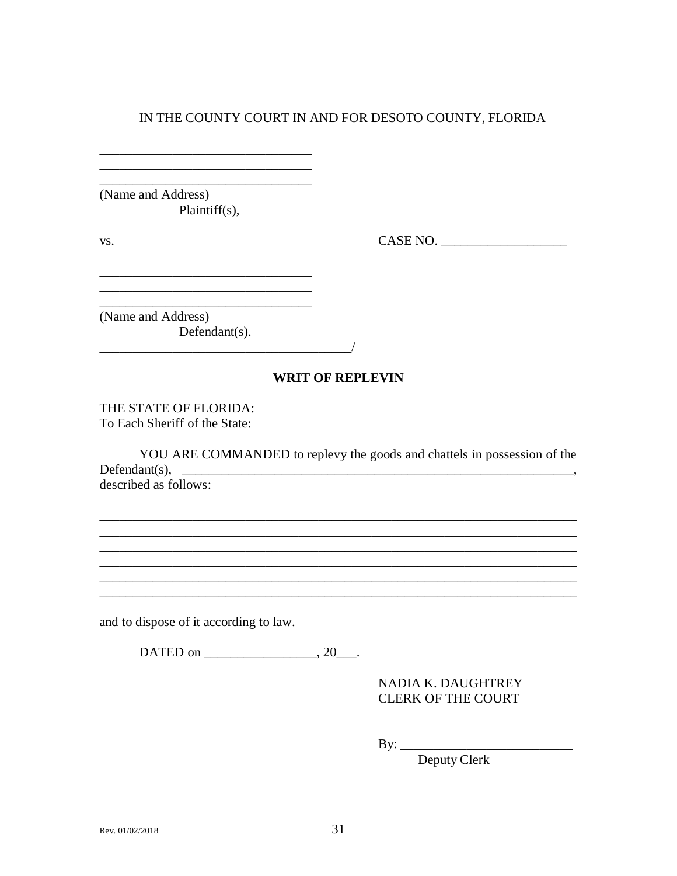(Name and Address)  $Plaintiff(s)$ ,

VS.

 $CASE NO.$ 

(Name and Address) Defendant $(s)$ .

### **WRIT OF REPLEVIN**

THE STATE OF FLORIDA: To Each Sheriff of the State:

YOU ARE COMMANDED to replevy the goods and chattels in possession of the Defendant(s),  $\frac{1}{\sqrt{1-\frac{1}{\sqrt{1-\frac{1}{\sqrt{1-\frac{1}{\sqrt{1-\frac{1}{\sqrt{1-\frac{1}{\sqrt{1-\frac{1}{\sqrt{1-\frac{1}{\sqrt{1-\frac{1}{\sqrt{1-\frac{1}{\sqrt{1-\frac{1}{\sqrt{1-\frac{1}{\sqrt{1-\frac{1}{\sqrt{1-\frac{1}{\sqrt{1-\frac{1}{\sqrt{1-\frac{1}{\sqrt{1-\frac{1}{\sqrt{1-\frac{1}{\sqrt{1-\frac{1}{\sqrt{1-\frac{1}{\sqrt{1-\frac{1}{\sqrt{1-\frac{1}{\sqrt{1-\frac{1}{\sqrt{$  $\overline{\phantom{a}}$ described as follows:

and to dispose of it according to law.

DATED on 20.

NADIA K. DAUGHTREY **CLERK OF THE COURT** 

By:  $\qquad \qquad$ 

<u> 1989 - Johann Barn, mars ann an t-Amhain ann an t-Amhain ann an t-Amhain ann an t-Amhain an t-Amhain an t-Amh</u>

Deputy Clerk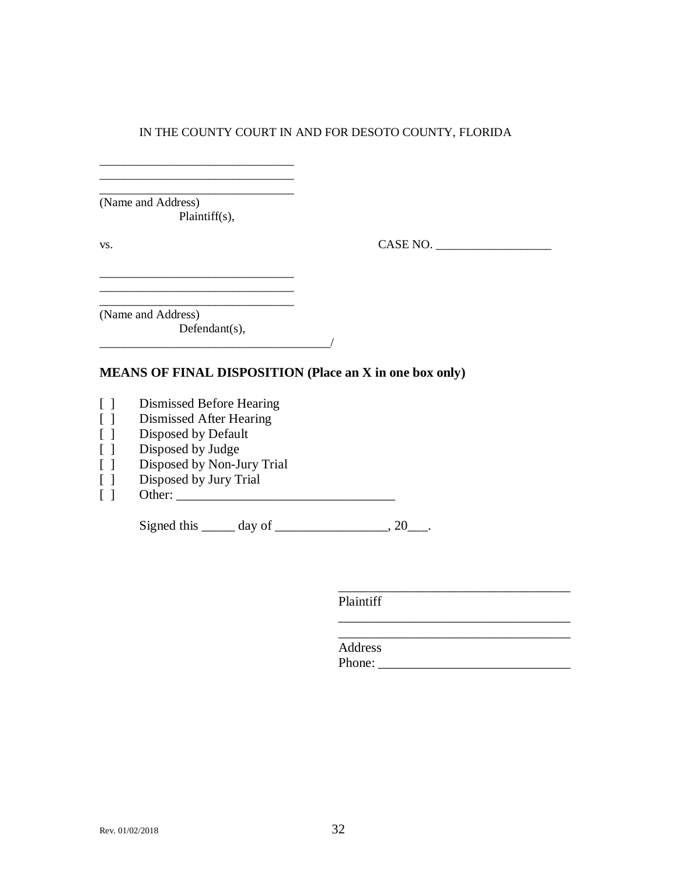\_\_\_\_\_\_\_\_\_\_\_\_\_\_\_\_\_\_\_\_\_\_\_\_\_\_\_\_\_\_\_\_ (Name and Address) Plaintiff(s),

\_\_\_\_\_\_\_\_\_\_\_\_\_\_\_\_\_\_\_\_\_\_\_\_\_\_\_\_\_\_\_\_

vs. CASE NO.

\_\_\_\_\_\_\_\_\_\_\_\_\_\_\_\_\_\_\_\_\_\_\_\_\_\_\_\_\_\_\_\_\_\_\_

\_\_\_\_\_\_\_\_\_\_\_\_\_\_\_\_\_\_\_\_\_\_\_\_\_\_\_\_\_\_\_\_\_\_\_

\_\_\_\_\_\_\_\_\_\_\_\_\_\_\_\_\_\_\_\_\_\_\_\_\_\_\_\_\_\_\_\_ (Name and Address)

Defendant(s),  $\overline{\phantom{a}}$   $\overline{\phantom{a}}$   $\overline{\phantom{a}}$   $\overline{\phantom{a}}$   $\overline{\phantom{a}}$   $\overline{\phantom{a}}$   $\overline{\phantom{a}}$   $\overline{\phantom{a}}$   $\overline{\phantom{a}}$   $\overline{\phantom{a}}$   $\overline{\phantom{a}}$   $\overline{\phantom{a}}$   $\overline{\phantom{a}}$   $\overline{\phantom{a}}$   $\overline{\phantom{a}}$   $\overline{\phantom{a}}$   $\overline{\phantom{a}}$   $\overline{\phantom{a}}$   $\overline{\$ 

 $\overline{\phantom{a}}$  , where  $\overline{\phantom{a}}$  , where  $\overline{\phantom{a}}$  , where  $\overline{\phantom{a}}$ 

 $\overline{\phantom{a}}$  , where  $\overline{\phantom{a}}$  , where  $\overline{\phantom{a}}$  ,  $\overline{\phantom{a}}$  ,  $\overline{\phantom{a}}$  ,  $\overline{\phantom{a}}$  ,  $\overline{\phantom{a}}$  ,  $\overline{\phantom{a}}$  ,  $\overline{\phantom{a}}$  ,  $\overline{\phantom{a}}$  ,  $\overline{\phantom{a}}$  ,  $\overline{\phantom{a}}$  ,  $\overline{\phantom{a}}$  ,  $\overline{\phantom{a}}$  ,  $\overline{\phantom{a}}$  ,

### **MEANS OF FINAL DISPOSITION (Place an X in one box only)**

- [ ] Dismissed Before Hearing
- [ ] Dismissed After Hearing
- [ ] Disposed by Default
- [ ] Disposed by Judge
- [ ] Disposed by Non-Jury Trial
- [ ] Disposed by Jury Trial
- [ ] Other: \_\_\_\_\_\_\_\_\_\_\_\_\_\_\_\_\_\_\_\_\_\_\_\_\_\_\_\_\_\_\_\_\_

Signed this  $\_\_\_\_\$  day of  $\_\_\_\_\_\_\_\$ , 20 $\_\_\_\_\$ .

Plaintiff

Address Phone: \_\_\_\_\_\_\_\_\_\_\_\_\_\_\_\_\_\_\_\_\_\_\_\_\_\_\_\_\_